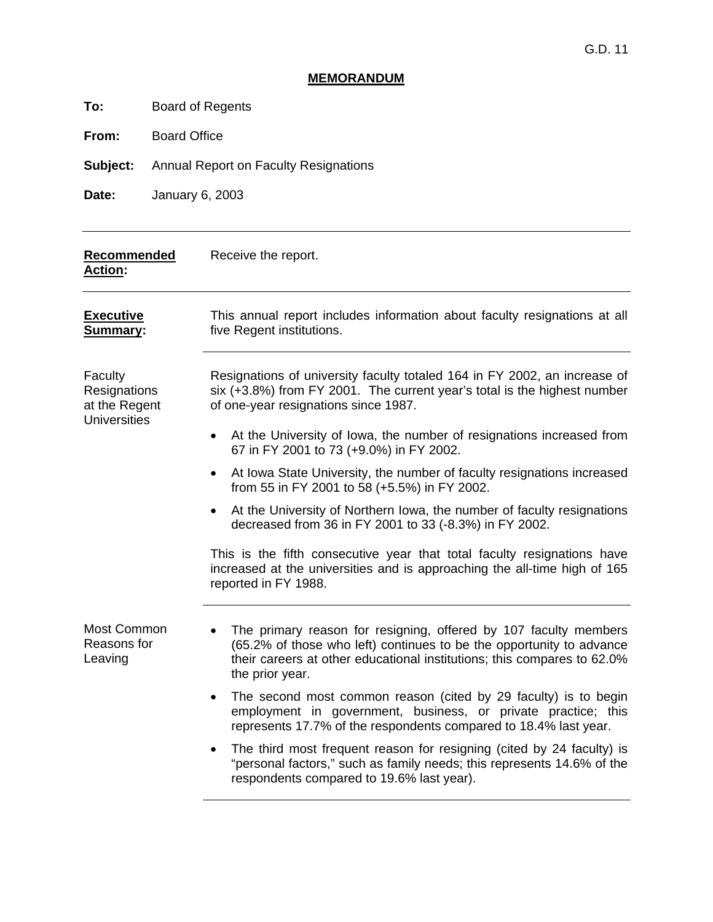# **MEMORANDUM**

**To:** Board of Regents

**From:** Board Office

**Subject:** Annual Report on Faculty Resignations

**Date:** January 6, 2003

| Recommended<br><b>Action:</b>                                   | Receive the report.                                                                                                                                                                                                                    |
|-----------------------------------------------------------------|----------------------------------------------------------------------------------------------------------------------------------------------------------------------------------------------------------------------------------------|
| <b>Executive</b><br>Summary:                                    | This annual report includes information about faculty resignations at all<br>five Regent institutions.                                                                                                                                 |
| Faculty<br>Resignations<br>at the Regent<br><b>Universities</b> | Resignations of university faculty totaled 164 in FY 2002, an increase of<br>six (+3.8%) from FY 2001. The current year's total is the highest number<br>of one-year resignations since 1987.                                          |
|                                                                 | At the University of Iowa, the number of resignations increased from<br>$\bullet$<br>67 in FY 2001 to 73 (+9.0%) in FY 2002.                                                                                                           |
|                                                                 | At Iowa State University, the number of faculty resignations increased<br>$\bullet$<br>from 55 in FY 2001 to 58 (+5.5%) in FY 2002.                                                                                                    |
|                                                                 | At the University of Northern Iowa, the number of faculty resignations<br>$\bullet$<br>decreased from 36 in FY 2001 to 33 (-8.3%) in FY 2002.                                                                                          |
|                                                                 | This is the fifth consecutive year that total faculty resignations have<br>increased at the universities and is approaching the all-time high of 165<br>reported in FY 1988.                                                           |
| Most Common<br>Reasons for<br>Leaving                           | The primary reason for resigning, offered by 107 faculty members<br>(65.2% of those who left) continues to be the opportunity to advance<br>their careers at other educational institutions; this compares to 62.0%<br>the prior year. |
|                                                                 | The second most common reason (cited by 29 faculty) is to begin<br>$\bullet$<br>employment in government, business, or private practice; this<br>represents 17.7% of the respondents compared to 18.4% last year.                      |
|                                                                 | The third most frequent reason for resigning (cited by 24 faculty) is<br>$\bullet$<br>"personal factors," such as family needs; this represents 14.6% of the<br>respondents compared to 19.6% last year).                              |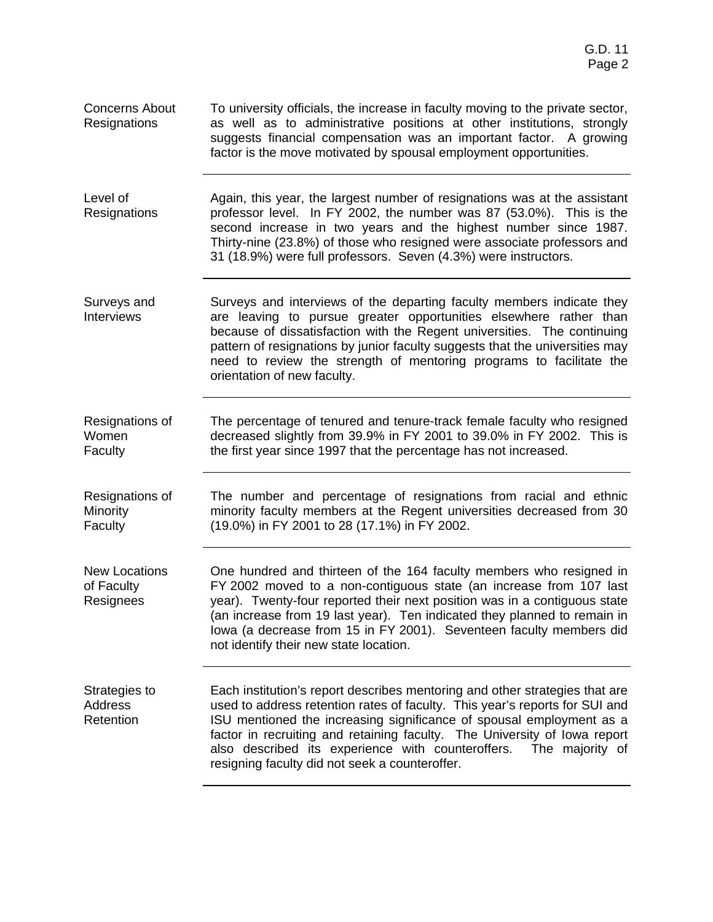| <b>Concerns About</b><br>Resignations           | To university officials, the increase in faculty moving to the private sector,<br>as well as to administrative positions at other institutions, strongly<br>suggests financial compensation was an important factor. A growing<br>factor is the move motivated by spousal employment opportunities.                                                                                                                                       |
|-------------------------------------------------|-------------------------------------------------------------------------------------------------------------------------------------------------------------------------------------------------------------------------------------------------------------------------------------------------------------------------------------------------------------------------------------------------------------------------------------------|
| Level of<br>Resignations                        | Again, this year, the largest number of resignations was at the assistant<br>professor level. In FY 2002, the number was 87 (53.0%). This is the<br>second increase in two years and the highest number since 1987.<br>Thirty-nine (23.8%) of those who resigned were associate professors and<br>31 (18.9%) were full professors. Seven (4.3%) were instructors.                                                                         |
| Surveys and<br><b>Interviews</b>                | Surveys and interviews of the departing faculty members indicate they<br>are leaving to pursue greater opportunities elsewhere rather than<br>because of dissatisfaction with the Regent universities. The continuing<br>pattern of resignations by junior faculty suggests that the universities may<br>need to review the strength of mentoring programs to facilitate the<br>orientation of new faculty.                               |
| Resignations of<br>Women<br>Faculty             | The percentage of tenured and tenure-track female faculty who resigned<br>decreased slightly from 39.9% in FY 2001 to 39.0% in FY 2002. This is<br>the first year since 1997 that the percentage has not increased.                                                                                                                                                                                                                       |
| Resignations of<br>Minority<br>Faculty          | The number and percentage of resignations from racial and ethnic<br>minority faculty members at the Regent universities decreased from 30<br>(19.0%) in FY 2001 to 28 (17.1%) in FY 2002.                                                                                                                                                                                                                                                 |
| <b>New Locations</b><br>of Faculty<br>Resignees | One hundred and thirteen of the 164 faculty members who resigned in<br>FY 2002 moved to a non-contiguous state (an increase from 107 last<br>year). Twenty-four reported their next position was in a contiguous state<br>(an increase from 19 last year). Ten indicated they planned to remain in<br>lowa (a decrease from 15 in FY 2001). Seventeen faculty members did<br>not identify their new state location.                       |
| Strategies to<br>Address<br>Retention           | Each institution's report describes mentoring and other strategies that are<br>used to address retention rates of faculty. This year's reports for SUI and<br>ISU mentioned the increasing significance of spousal employment as a<br>factor in recruiting and retaining faculty. The University of lowa report<br>also described its experience with counteroffers.<br>The majority of<br>resigning faculty did not seek a counteroffer. |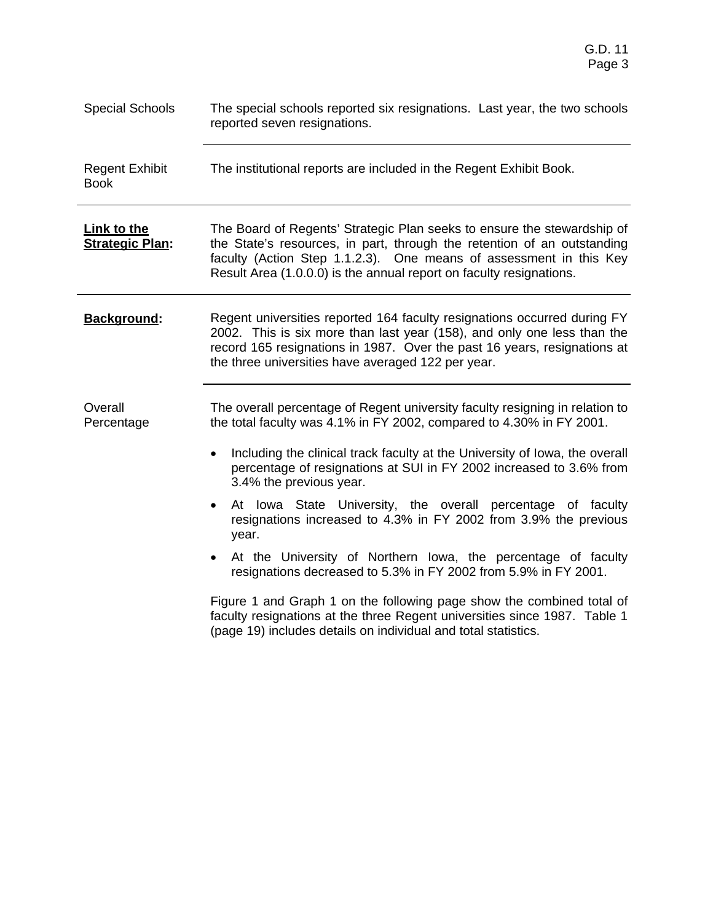| <b>Special Schools</b>                       | The special schools reported six resignations. Last year, the two schools<br>reported seven resignations.                                                                                                                                                                                                                                                                                                                                                                                                                                                                                                                                                                                                                                                                                                                                                                            |  |  |  |  |
|----------------------------------------------|--------------------------------------------------------------------------------------------------------------------------------------------------------------------------------------------------------------------------------------------------------------------------------------------------------------------------------------------------------------------------------------------------------------------------------------------------------------------------------------------------------------------------------------------------------------------------------------------------------------------------------------------------------------------------------------------------------------------------------------------------------------------------------------------------------------------------------------------------------------------------------------|--|--|--|--|
| <b>Regent Exhibit</b><br><b>Book</b>         | The institutional reports are included in the Regent Exhibit Book.                                                                                                                                                                                                                                                                                                                                                                                                                                                                                                                                                                                                                                                                                                                                                                                                                   |  |  |  |  |
| <b>Link to the</b><br><b>Strategic Plan:</b> | The Board of Regents' Strategic Plan seeks to ensure the stewardship of<br>the State's resources, in part, through the retention of an outstanding<br>faculty (Action Step 1.1.2.3). One means of assessment in this Key<br>Result Area (1.0.0.0) is the annual report on faculty resignations.                                                                                                                                                                                                                                                                                                                                                                                                                                                                                                                                                                                      |  |  |  |  |
| <b>Background:</b>                           | Regent universities reported 164 faculty resignations occurred during FY<br>2002. This is six more than last year (158), and only one less than the<br>record 165 resignations in 1987. Over the past 16 years, resignations at<br>the three universities have averaged 122 per year.                                                                                                                                                                                                                                                                                                                                                                                                                                                                                                                                                                                                |  |  |  |  |
| Overall<br>Percentage                        | The overall percentage of Regent university faculty resigning in relation to<br>the total faculty was 4.1% in FY 2002, compared to 4.30% in FY 2001.<br>Including the clinical track faculty at the University of Iowa, the overall<br>$\bullet$<br>percentage of resignations at SUI in FY 2002 increased to 3.6% from<br>3.4% the previous year.<br>At lowa State University, the overall percentage of faculty<br>$\bullet$<br>resignations increased to 4.3% in FY 2002 from 3.9% the previous<br>year.<br>At the University of Northern Iowa, the percentage of faculty<br>$\bullet$<br>resignations decreased to 5.3% in FY 2002 from 5.9% in FY 2001.<br>Figure 1 and Graph 1 on the following page show the combined total of<br>faculty resignations at the three Regent universities since 1987. Table 1<br>(page 19) includes details on individual and total statistics. |  |  |  |  |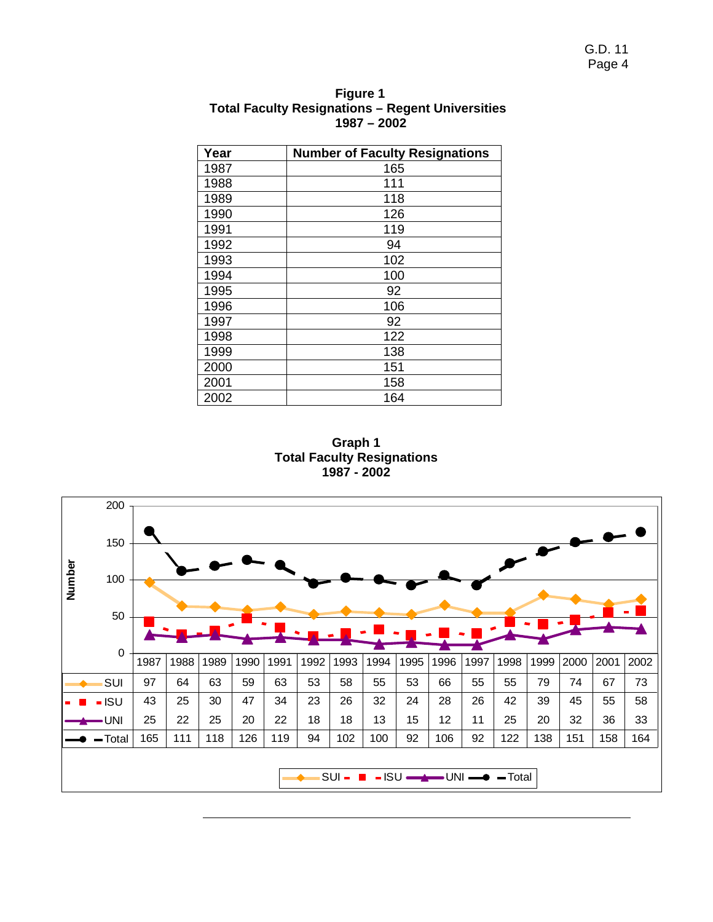| Year | <b>Number of Faculty Resignations</b> |
|------|---------------------------------------|
| 1987 | 165                                   |
| 1988 | 111                                   |
| 1989 | 118                                   |
| 1990 | 126                                   |
| 1991 | 119                                   |
| 1992 | 94                                    |
| 1993 | 102                                   |
| 1994 | 100                                   |
| 1995 | 92                                    |
| 1996 | 106                                   |
| 1997 | 92                                    |
| 1998 | 122                                   |
| 1999 | 138                                   |
| 2000 | 151                                   |
| 2001 | 158                                   |
| 2002 | 164                                   |

**Figure 1 Total Faculty Resignations – Regent Universities 1987 – 2002** 

**Graph 1 Total Faculty Resignations 1987 - 2002** 

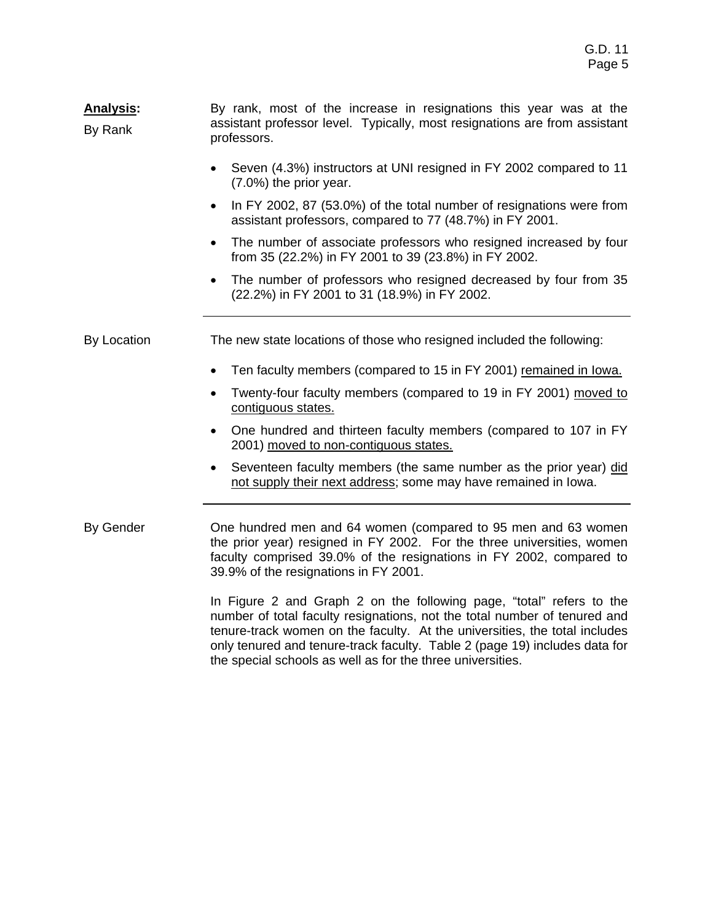#### **Analysis:**  By Rank By rank, most of the increase in resignations this year was at the assistant professor level. Typically, most resignations are from assistant professors.

- Seven (4.3%) instructors at UNI resigned in FY 2002 compared to 11 (7.0%) the prior year.
- In FY 2002, 87 (53.0%) of the total number of resignations were from assistant professors, compared to 77 (48.7%) in FY 2001.
- The number of associate professors who resigned increased by four from 35 (22.2%) in FY 2001 to 39 (23.8%) in FY 2002.
- The number of professors who resigned decreased by four from 35 (22.2%) in FY 2001 to 31 (18.9%) in FY 2002.

By Location The new state locations of those who resigned included the following:

- Ten faculty members (compared to 15 in FY 2001) remained in lowa.
- Twenty-four faculty members (compared to 19 in FY 2001) moved to contiguous states.
- One hundred and thirteen faculty members (compared to 107 in FY 2001) moved to non-contiguous states.
- Seventeen faculty members (the same number as the prior year) did not supply their next address; some may have remained in Iowa.

By Gender **One hundred men and 64 women (compared to 95 men and 63 women** the prior year) resigned in FY 2002. For the three universities, women faculty comprised 39.0% of the resignations in FY 2002, compared to 39.9% of the resignations in FY 2001.

> In Figure 2 and Graph 2 on the following page, "total" refers to the number of total faculty resignations, not the total number of tenured and tenure-track women on the faculty. At the universities, the total includes only tenured and tenure-track faculty. Table 2 (page 19) includes data for the special schools as well as for the three universities.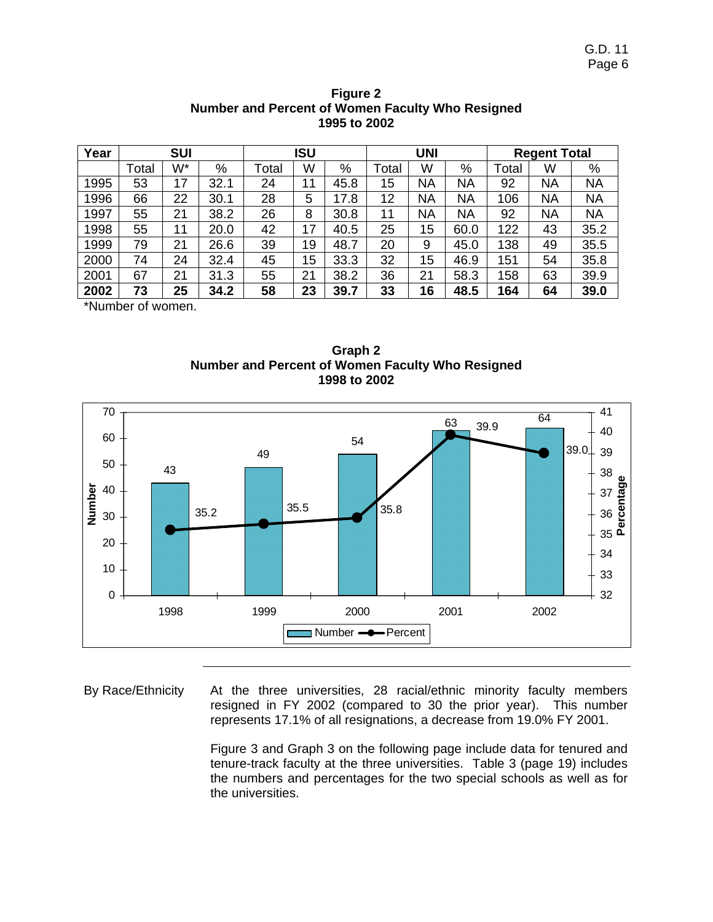| Year |                                      | <b>SUI</b> |      |       | ISU |      | <b>UNI</b> |           | <b>Regent Total</b> |       |           |           |
|------|--------------------------------------|------------|------|-------|-----|------|------------|-----------|---------------------|-------|-----------|-----------|
|      | Total                                | W*         | %    | Total | W   | $\%$ | Total      | W         | %                   | Total | W         | %         |
| 1995 | 53                                   | 17         | 32.1 | 24    | 11  | 45.8 | 15         | ΝA        | <b>NA</b>           | 92    | <b>NA</b> | <b>NA</b> |
| 1996 | 66                                   | 22         | 30.1 | 28    | 5   | 17.8 | 12         | <b>NA</b> | <b>NA</b>           | 106   | <b>NA</b> | <b>NA</b> |
| 1997 | 55                                   | 21         | 38.2 | 26    | 8   | 30.8 | 11         | ΝA        | ΝA                  | 92    | <b>NA</b> | <b>NA</b> |
| 1998 | 55                                   | 11         | 20.0 | 42    | 17  | 40.5 | 25         | 15        | 60.0                | 122   | 43        | 35.2      |
| 1999 | 79                                   | 21         | 26.6 | 39    | 19  | 48.7 | 20         | 9         | 45.0                | 138   | 49        | 35.5      |
| 2000 | 74                                   | 24         | 32.4 | 45    | 15  | 33.3 | 32         | 15        | 46.9                | 151   | 54        | 35.8      |
| 2001 | 67                                   | 21         | 31.3 | 55    | 21  | 38.2 | 36         | 21        | 58.3                | 158   | 63        | 39.9      |
| 2002 | 73                                   | 25         | 34.2 | 58    | 23  | 39.7 | 33         | 16        | 48.5                | 164   | 64        | 39.0      |
|      | $*$ N $\cdots$ and an almone and $*$ |            |      |       |     |      |            |           |                     |       |           |           |

#### **Figure 2 Number and Percent of Women Faculty Who Resigned 1995 to 2002**

\*Number of women.





By Race/Ethnicity At the three universities, 28 racial/ethnic minority faculty members resigned in FY 2002 (compared to 30 the prior year). This number represents 17.1% of all resignations, a decrease from 19.0% FY 2001.

> Figure 3 and Graph 3 on the following page include data for tenured and tenure-track faculty at the three universities. Table 3 (page 19) includes the numbers and percentages for the two special schools as well as for the universities.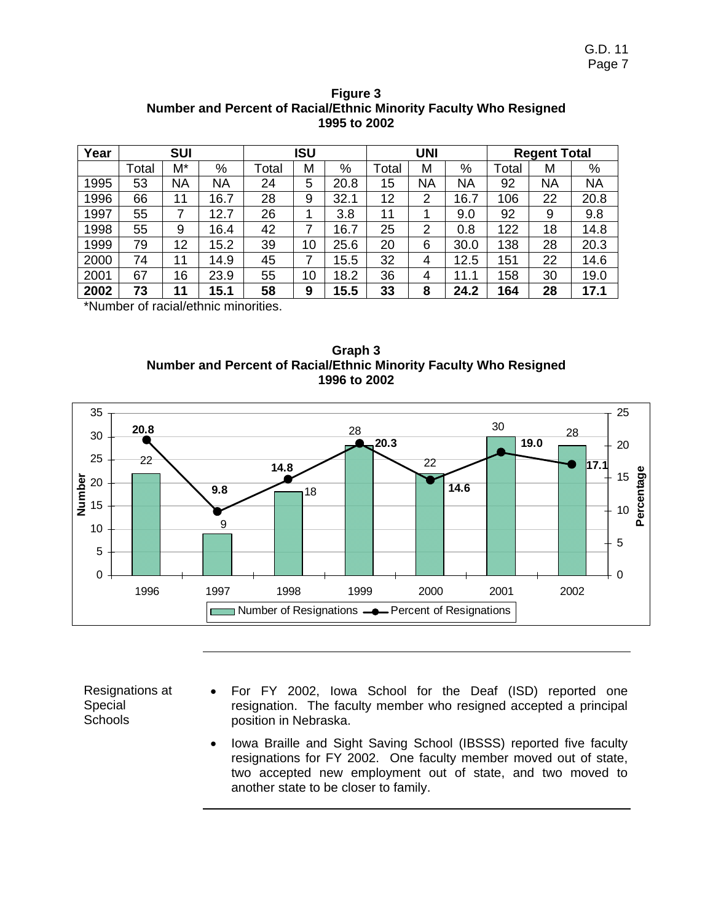|       | <b>SUI</b> |           |       | ISU                                                            |      |       | UNI |           |       | <b>Regent Total</b> |           |
|-------|------------|-----------|-------|----------------------------------------------------------------|------|-------|-----|-----------|-------|---------------------|-----------|
| Total | M*         | %         | Total | Μ                                                              | %    | Total | M   | $\%$      | Total | М                   | %         |
| 53    | ΝA         | <b>NA</b> | 24    | 5                                                              | 20.8 | 15    | NΑ  | <b>NA</b> | 92    | <b>NA</b>           | <b>NA</b> |
| 66    | 11         | 16.7      | 28    | 9                                                              | 32.1 | 12    | 2   | 16.7      | 106   | 22                  | 20.8      |
| 55    | 7          | 12.7      | 26    |                                                                | 3.8  | 11    |     | 9.0       | 92    | 9                   | 9.8       |
| 55    | 9          | 16.4      | 42    | 7                                                              | 16.7 | 25    | 2   | 0.8       | 122   | 18                  | 14.8      |
| 79    | 12         | 15.2      | 39    | 10                                                             | 25.6 | 20    | 6   | 30.0      | 138   | 28                  | 20.3      |
| 74    | 11         | 14.9      | 45    | 7                                                              | 15.5 | 32    | 4   | 12.5      | 151   | 22                  | 14.6      |
| 67    | 16         | 23.9      | 55    | 10                                                             | 18.2 | 36    | 4   | 11.1      | 58    | 30                  | 19.0      |
| 73    | 11         | 15.1      | 58    | 9                                                              | 15.5 | 33    | 8   | 24.2      | 164   | 28                  | 17.1      |
|       |            |           |       | <b>*NI</b> a la seus sufficient le de la secondatura subtinent |      |       |     |           |       |                     |           |

**Figure 3 Number and Percent of Racial/Ethnic Minority Faculty Who Resigned 1995 to 2002** 

\*Number of racial/ethnic minorities.





Resignations at Special Schools

- For FY 2002, Iowa School for the Deaf (ISD) reported one resignation. The faculty member who resigned accepted a principal position in Nebraska.
- Iowa Braille and Sight Saving School (IBSSS) reported five faculty resignations for FY 2002. One faculty member moved out of state, two accepted new employment out of state, and two moved to another state to be closer to family.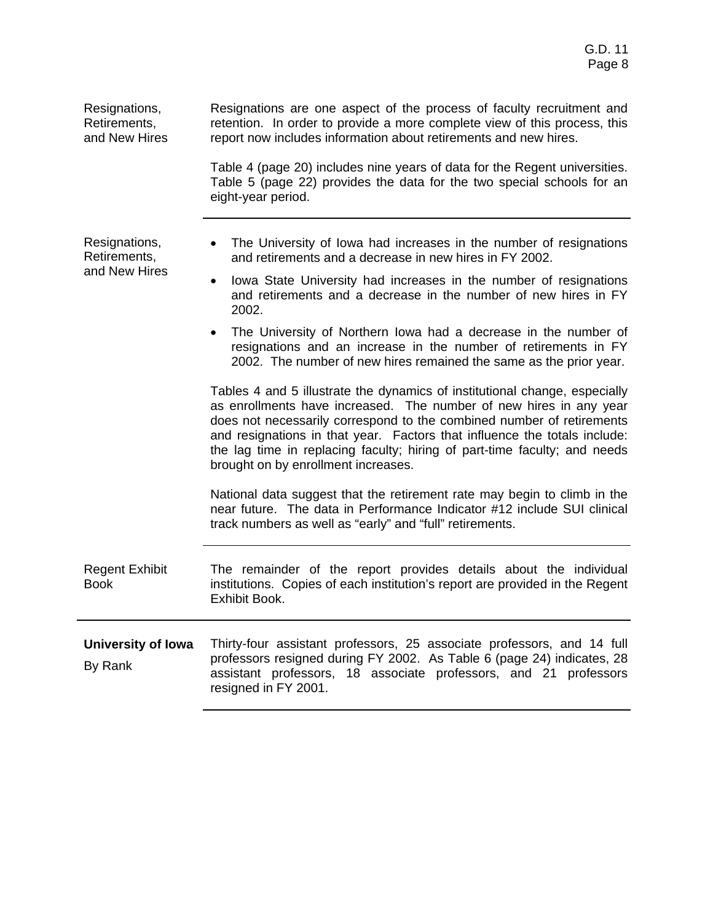| Resignations,<br>Retirements,<br>and New Hires | Resignations are one aspect of the process of faculty recruitment and<br>retention. In order to provide a more complete view of this process, this<br>report now includes information about retirements and new hires.                                                                                                                                                                                                     |
|------------------------------------------------|----------------------------------------------------------------------------------------------------------------------------------------------------------------------------------------------------------------------------------------------------------------------------------------------------------------------------------------------------------------------------------------------------------------------------|
|                                                | Table 4 (page 20) includes nine years of data for the Regent universities.<br>Table 5 (page 22) provides the data for the two special schools for an<br>eight-year period.                                                                                                                                                                                                                                                 |
| Resignations,<br>Retirements,                  | The University of Iowa had increases in the number of resignations<br>and retirements and a decrease in new hires in FY 2002.                                                                                                                                                                                                                                                                                              |
| and New Hires                                  | Iowa State University had increases in the number of resignations<br>٠<br>and retirements and a decrease in the number of new hires in FY<br>2002.                                                                                                                                                                                                                                                                         |
|                                                | The University of Northern Iowa had a decrease in the number of<br>resignations and an increase in the number of retirements in FY<br>2002. The number of new hires remained the same as the prior year.                                                                                                                                                                                                                   |
|                                                | Tables 4 and 5 illustrate the dynamics of institutional change, especially<br>as enrollments have increased. The number of new hires in any year<br>does not necessarily correspond to the combined number of retirements<br>and resignations in that year. Factors that influence the totals include:<br>the lag time in replacing faculty; hiring of part-time faculty; and needs<br>brought on by enrollment increases. |
|                                                | National data suggest that the retirement rate may begin to climb in the<br>near future. The data in Performance Indicator #12 include SUI clinical<br>track numbers as well as "early" and "full" retirements.                                                                                                                                                                                                            |
| <b>Regent Exhibit</b><br><b>Book</b>           | The remainder of the report provides details about the individual<br>institutions. Copies of each institution's report are provided in the Regent<br>Exhibit Book.                                                                                                                                                                                                                                                         |
| <b>University of Iowa</b><br>By Rank           | Thirty-four assistant professors, 25 associate professors, and 14 full<br>professors resigned during FY 2002. As Table 6 (page 24) indicates, 28<br>assistant professors, 18 associate professors, and 21 professors<br>resigned in FY 2001.                                                                                                                                                                               |
|                                                |                                                                                                                                                                                                                                                                                                                                                                                                                            |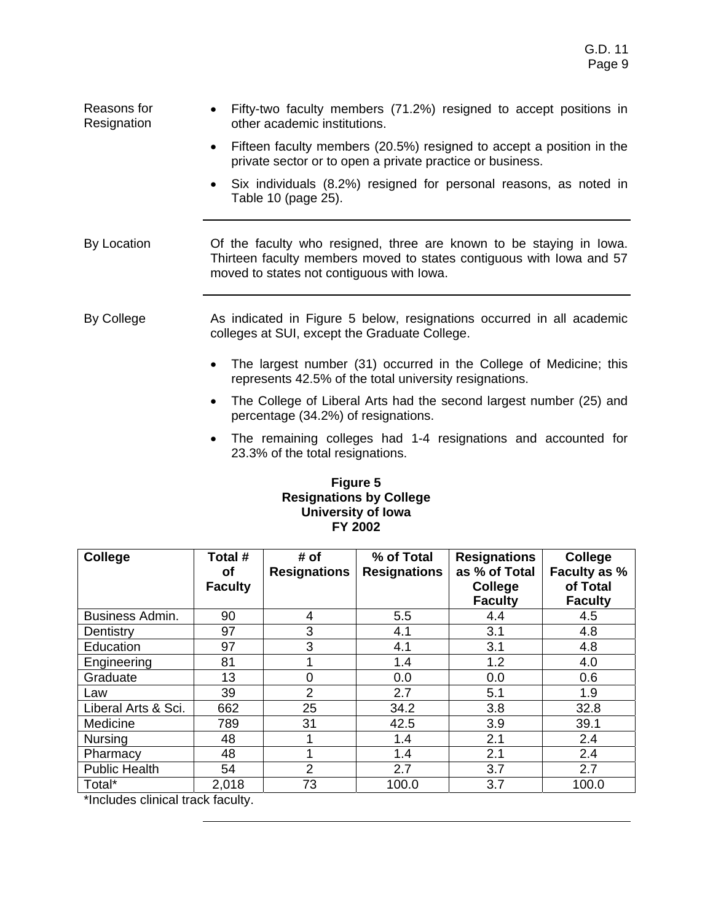| Reasons for<br>Resignation | Fifty-two faculty members (71.2%) resigned to accept positions in<br>other academic institutions.                                                                                        |
|----------------------------|------------------------------------------------------------------------------------------------------------------------------------------------------------------------------------------|
|                            | Fifteen faculty members (20.5%) resigned to accept a position in the<br>$\bullet$<br>private sector or to open a private practice or business.                                           |
|                            | Six individuals (8.2%) resigned for personal reasons, as noted in<br>Table 10 (page 25).                                                                                                 |
| By Location                | Of the faculty who resigned, three are known to be staying in lowa.<br>Thirteen faculty members moved to states contiguous with lowa and 57<br>moved to states not contiguous with lowa. |
| By College                 | As indicated in Figure 5 below, resignations occurred in all academic<br>colleges at SUI, except the Graduate College.                                                                   |
|                            | The largest number (31) occurred in the College of Medicine; this<br>$\bullet$<br>represents 42.5% of the total university resignations.                                                 |
|                            | The College of Liberal Arts had the second largest number (25) and<br>percentage (34.2%) of resignations.                                                                                |

• The remaining colleges had 1-4 resignations and accounted for 23.3% of the total resignations.

### **Figure 5 Resignations by College University of Iowa FY 2002**

| <b>College</b>                                          | Total #        | # of                | % of Total          | <b>Resignations</b> | College        |
|---------------------------------------------------------|----------------|---------------------|---------------------|---------------------|----------------|
|                                                         | <b>of</b>      | <b>Resignations</b> | <b>Resignations</b> | as % of Total       | Faculty as %   |
|                                                         | <b>Faculty</b> |                     |                     | College             | of Total       |
|                                                         |                |                     |                     | <b>Faculty</b>      | <b>Faculty</b> |
| Business Admin.                                         | 90             | 4                   | 5.5                 | 4.4                 | 4.5            |
| Dentistry                                               | 97             | 3                   | 4.1                 | 3.1                 | 4.8            |
| Education                                               | 97             | 3                   | 4.1                 | 3.1                 | 4.8            |
| Engineering                                             | 81             |                     | 1.4                 | 1.2                 | 4.0            |
| Graduate                                                | 13             | 0                   | 0.0                 | 0.0                 | 0.6            |
| Law                                                     | 39             | $\overline{2}$      | 2.7                 | 5.1                 | 1.9            |
| Liberal Arts & Sci.                                     | 662            | 25                  | 34.2                | 3.8                 | 32.8           |
| Medicine                                                | 789            | 31                  | 42.5                | 3.9                 | 39.1           |
| <b>Nursing</b>                                          | 48             |                     | 1.4                 | 2.1                 | 2.4            |
| Pharmacy                                                | 48             |                     | 1.4                 | 2.1                 | 2.4            |
| <b>Public Health</b>                                    | 54             | 2                   | 2.7                 | 3.7                 | 2.7            |
| Total*<br>the contract of the contract of the con-<br>. | 2,018          | 73                  | 100.0               | 3.7                 | 100.0          |

\*Includes clinical track faculty.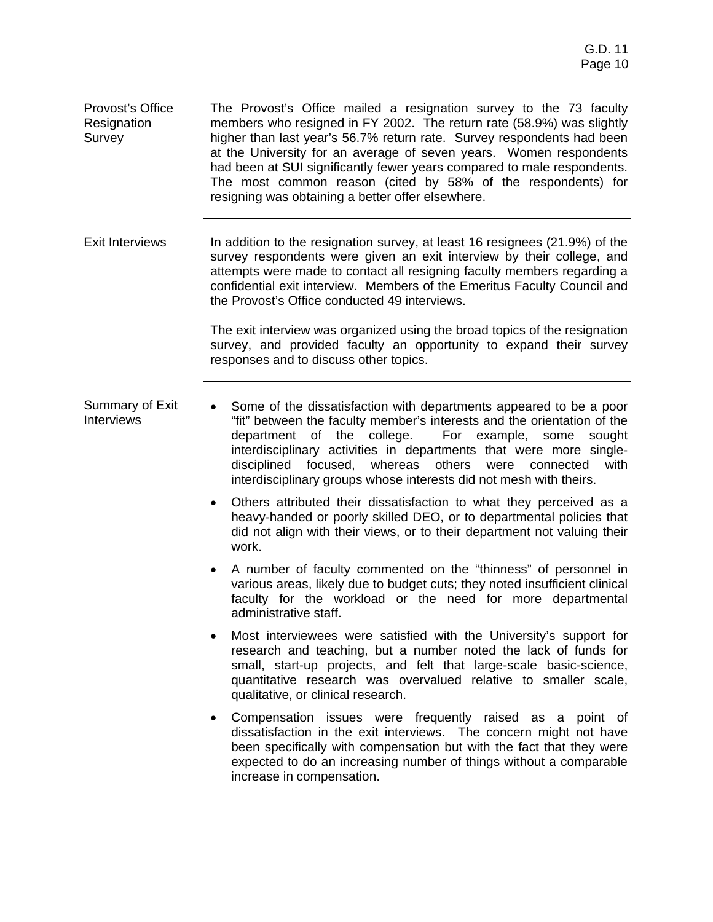Provost's Office Resignation Survey The Provost's Office mailed a resignation survey to the 73 faculty members who resigned in FY 2002. The return rate (58.9%) was slightly higher than last year's 56.7% return rate. Survey respondents had been at the University for an average of seven years. Women respondents had been at SUI significantly fewer years compared to male respondents. The most common reason (cited by 58% of the respondents) for resigning was obtaining a better offer elsewhere.

Exit Interviews In addition to the resignation survey, at least 16 resignees (21.9%) of the survey respondents were given an exit interview by their college, and attempts were made to contact all resigning faculty members regarding a confidential exit interview. Members of the Emeritus Faculty Council and the Provost's Office conducted 49 interviews.

> The exit interview was organized using the broad topics of the resignation survey, and provided faculty an opportunity to expand their survey responses and to discuss other topics.

- Summary of Exit Interviews • Some of the dissatisfaction with departments appeared to be a poor "fit" between the faculty member's interests and the orientation of the department of the college. For example, some sought interdisciplinary activities in departments that were more singledisciplined focused, whereas others were connected with interdisciplinary groups whose interests did not mesh with theirs.
	- Others attributed their dissatisfaction to what they perceived as a heavy-handed or poorly skilled DEO, or to departmental policies that did not align with their views, or to their department not valuing their work.
	- A number of faculty commented on the "thinness" of personnel in various areas, likely due to budget cuts; they noted insufficient clinical faculty for the workload or the need for more departmental administrative staff.
	- Most interviewees were satisfied with the University's support for research and teaching, but a number noted the lack of funds for small, start-up projects, and felt that large-scale basic-science, quantitative research was overvalued relative to smaller scale, qualitative, or clinical research.
	- Compensation issues were frequently raised as a point of dissatisfaction in the exit interviews. The concern might not have been specifically with compensation but with the fact that they were expected to do an increasing number of things without a comparable increase in compensation.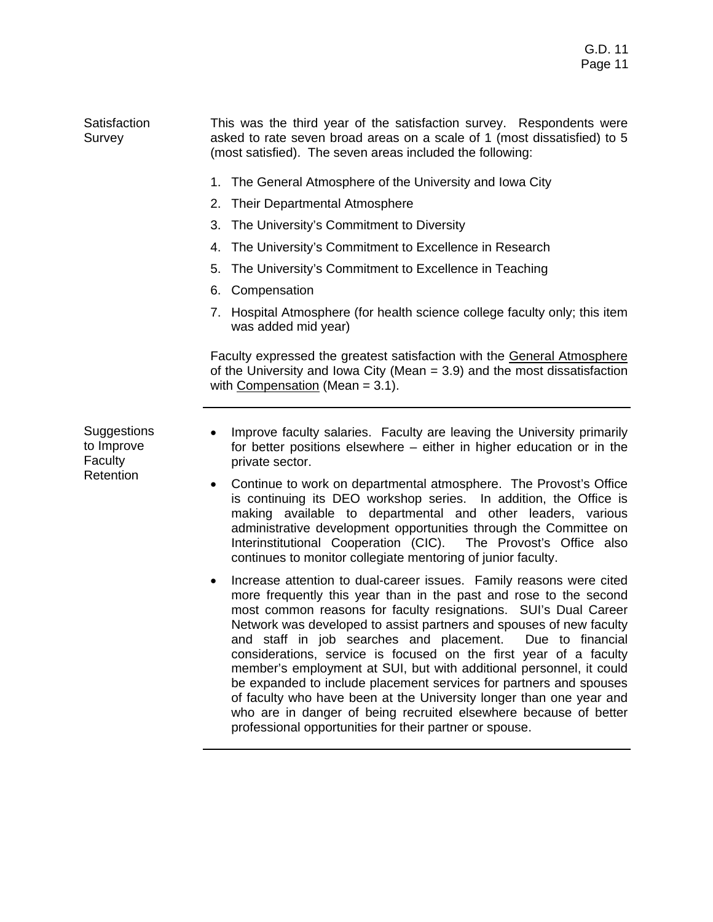**Satisfaction** Survey This was the third year of the satisfaction survey. Respondents were asked to rate seven broad areas on a scale of 1 (most dissatisfied) to 5 (most satisfied). The seven areas included the following:

- 1. The General Atmosphere of the University and Iowa City
- 2. Their Departmental Atmosphere
- 3. The University's Commitment to Diversity
- 4. The University's Commitment to Excellence in Research
- 5. The University's Commitment to Excellence in Teaching
- 6. Compensation
- 7. Hospital Atmosphere (for health science college faculty only; this item was added mid year)

Faculty expressed the greatest satisfaction with the General Atmosphere of the University and Iowa City (Mean = 3.9) and the most dissatisfaction with Compensation (Mean = 3.1).

**Suggestions** to Improve Faculty **Retention** 

- Improve faculty salaries. Faculty are leaving the University primarily for better positions elsewhere – either in higher education or in the private sector.
- Continue to work on departmental atmosphere. The Provost's Office is continuing its DEO workshop series. In addition, the Office is making available to departmental and other leaders, various administrative development opportunities through the Committee on Interinstitutional Cooperation (CIC). The Provost's Office also continues to monitor collegiate mentoring of junior faculty.
- Increase attention to dual-career issues. Family reasons were cited more frequently this year than in the past and rose to the second most common reasons for faculty resignations. SUI's Dual Career Network was developed to assist partners and spouses of new faculty and staff in job searches and placement. Due to financial considerations, service is focused on the first year of a faculty member's employment at SUI, but with additional personnel, it could be expanded to include placement services for partners and spouses of faculty who have been at the University longer than one year and who are in danger of being recruited elsewhere because of better professional opportunities for their partner or spouse.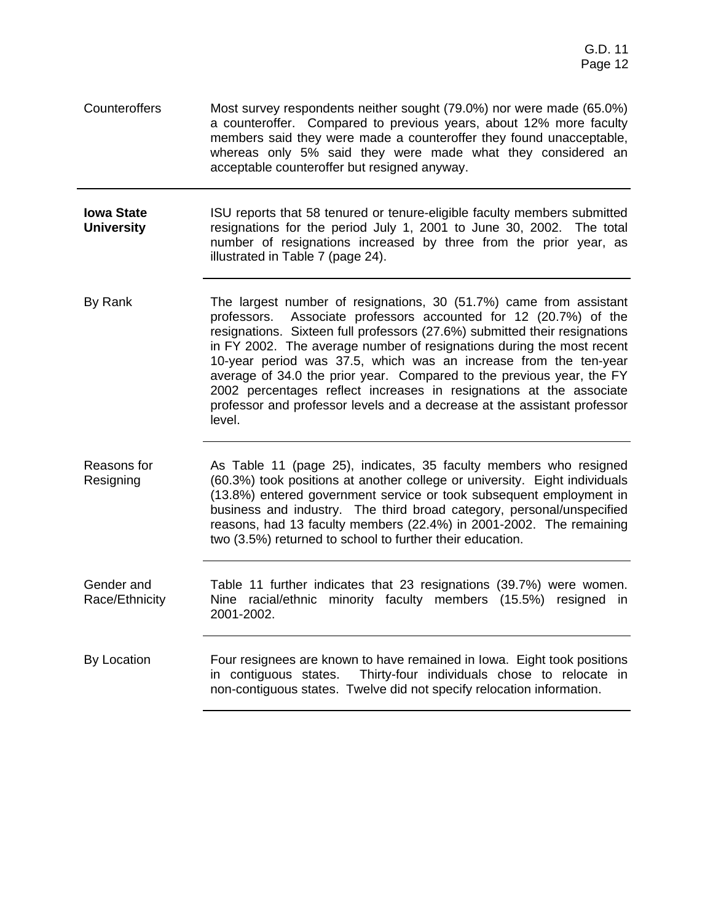Counteroffers Most survey respondents neither sought (79.0%) nor were made (65.0%) a counteroffer. Compared to previous years, about 12% more faculty members said they were made a counteroffer they found unacceptable, whereas only 5% said they were made what they considered an acceptable counteroffer but resigned anyway.

**Iowa State University**  ISU reports that 58 tenured or tenure-eligible faculty members submitted resignations for the period July 1, 2001 to June 30, 2002. The total number of resignations increased by three from the prior year, as illustrated in Table 7 (page 24).

By Rank The largest number of resignations, 30 (51.7%) came from assistant professors. Associate professors accounted for 12 (20.7%) of the resignations. Sixteen full professors (27.6%) submitted their resignations in FY 2002. The average number of resignations during the most recent 10-year period was 37.5, which was an increase from the ten-year average of 34.0 the prior year. Compared to the previous year, the FY 2002 percentages reflect increases in resignations at the associate professor and professor levels and a decrease at the assistant professor level.

Reasons for Resigning As Table 11 (page 25), indicates, 35 faculty members who resigned (60.3%) took positions at another college or university. Eight individuals (13.8%) entered government service or took subsequent employment in business and industry. The third broad category, personal/unspecified reasons, had 13 faculty members (22.4%) in 2001-2002. The remaining two (3.5%) returned to school to further their education.

Gender and Race/Ethnicity Table 11 further indicates that 23 resignations (39.7%) were women. Nine racial/ethnic minority faculty members (15.5%) resigned in 2001-2002.

By Location **Four resignees are known to have remained in Iowa.** Eight took positions in contiguous states. Thirty-four individuals chose to relocate in non-contiguous states. Twelve did not specify relocation information.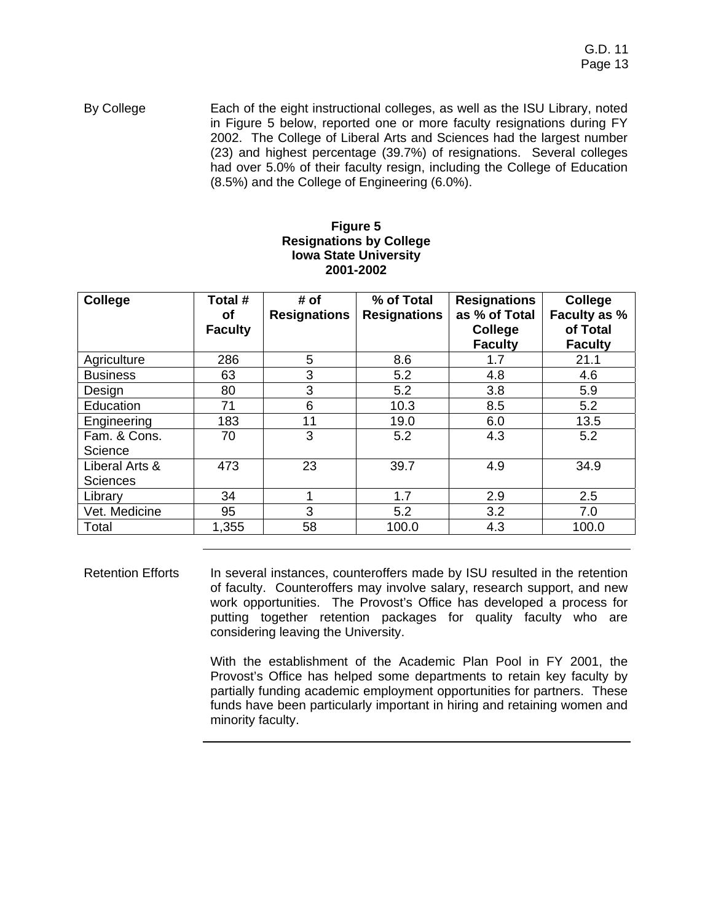By College Each of the eight instructional colleges, as well as the ISU Library, noted in Figure 5 below, reported one or more faculty resignations during FY 2002. The College of Liberal Arts and Sciences had the largest number (23) and highest percentage (39.7%) of resignations. Several colleges had over 5.0% of their faculty resign, including the College of Education (8.5%) and the College of Engineering (6.0%).

### **Figure 5 Resignations by College Iowa State University 2001-2002**

| <b>College</b>  | Total #        | # of                | % of Total          | <b>Resignations</b> | College        |
|-----------------|----------------|---------------------|---------------------|---------------------|----------------|
|                 | <b>of</b>      | <b>Resignations</b> | <b>Resignations</b> | as % of Total       | Faculty as %   |
|                 | <b>Faculty</b> |                     |                     | College             | of Total       |
|                 |                |                     |                     | <b>Faculty</b>      | <b>Faculty</b> |
| Agriculture     | 286            | 5                   | 8.6                 | 1.7                 | 21.1           |
| <b>Business</b> | 63             | 3                   | 5.2                 | 4.8                 | 4.6            |
| Design          | 80             | 3                   | 5.2                 | 3.8                 | 5.9            |
| Education       | 71             | 6                   | 10.3                | 8.5                 | 5.2            |
| Engineering     | 183            | 11                  | 19.0                | 6.0                 | 13.5           |
| Fam. & Cons.    | 70             | 3                   | 5.2                 | 4.3                 | 5.2            |
| Science         |                |                     |                     |                     |                |
| Liberal Arts &  | 473            | 23                  | 39.7                | 4.9                 | 34.9           |
| <b>Sciences</b> |                |                     |                     |                     |                |
| Library         | 34             |                     | 1.7                 | 2.9                 | 2.5            |
| Vet. Medicine   | 95             | 3                   | 5.2                 | 3.2                 | 7.0            |
| Total           | 1,355          | 58                  | 100.0               | 4.3                 | 100.0          |

Retention Efforts In several instances, counteroffers made by ISU resulted in the retention of faculty. Counteroffers may involve salary, research support, and new work opportunities. The Provost's Office has developed a process for putting together retention packages for quality faculty who are considering leaving the University.

> With the establishment of the Academic Plan Pool in FY 2001, the Provost's Office has helped some departments to retain key faculty by partially funding academic employment opportunities for partners. These funds have been particularly important in hiring and retaining women and minority faculty.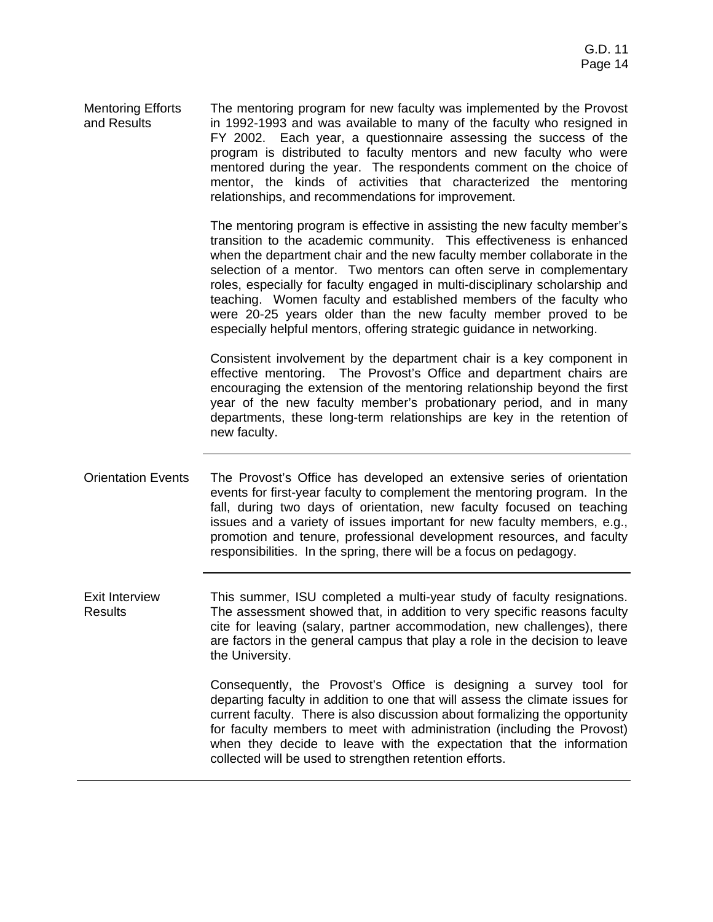| <b>Mentoring Efforts</b> | The mentoring program for new faculty was implemented by the Provost  |
|--------------------------|-----------------------------------------------------------------------|
| and Results              | in 1992-1993 and was available to many of the faculty who resigned in |
|                          | FY 2002. Each year, a questionnaire assessing the success of the      |
|                          | program is distributed to faculty mentors and new faculty who were    |
|                          | mentored during the year. The respondents comment on the choice of    |
|                          | mentor, the kinds of activities that characterized the mentoring      |
|                          | relationships, and recommendations for improvement.                   |

The mentoring program is effective in assisting the new faculty member's transition to the academic community. This effectiveness is enhanced when the department chair and the new faculty member collaborate in the selection of a mentor. Two mentors can often serve in complementary roles, especially for faculty engaged in multi-disciplinary scholarship and teaching. Women faculty and established members of the faculty who were 20-25 years older than the new faculty member proved to be especially helpful mentors, offering strategic guidance in networking.

Consistent involvement by the department chair is a key component in effective mentoring. The Provost's Office and department chairs are encouraging the extension of the mentoring relationship beyond the first year of the new faculty member's probationary period, and in many departments, these long-term relationships are key in the retention of new faculty.

Orientation Events The Provost's Office has developed an extensive series of orientation events for first-year faculty to complement the mentoring program. In the fall, during two days of orientation, new faculty focused on teaching issues and a variety of issues important for new faculty members, e.g., promotion and tenure, professional development resources, and faculty responsibilities. In the spring, there will be a focus on pedagogy.

Exit Interview Results This summer, ISU completed a multi-year study of faculty resignations. The assessment showed that, in addition to very specific reasons faculty cite for leaving (salary, partner accommodation, new challenges), there are factors in the general campus that play a role in the decision to leave the University.

> Consequently, the Provost's Office is designing a survey tool for departing faculty in addition to one that will assess the climate issues for current faculty. There is also discussion about formalizing the opportunity for faculty members to meet with administration (including the Provost) when they decide to leave with the expectation that the information collected will be used to strengthen retention efforts.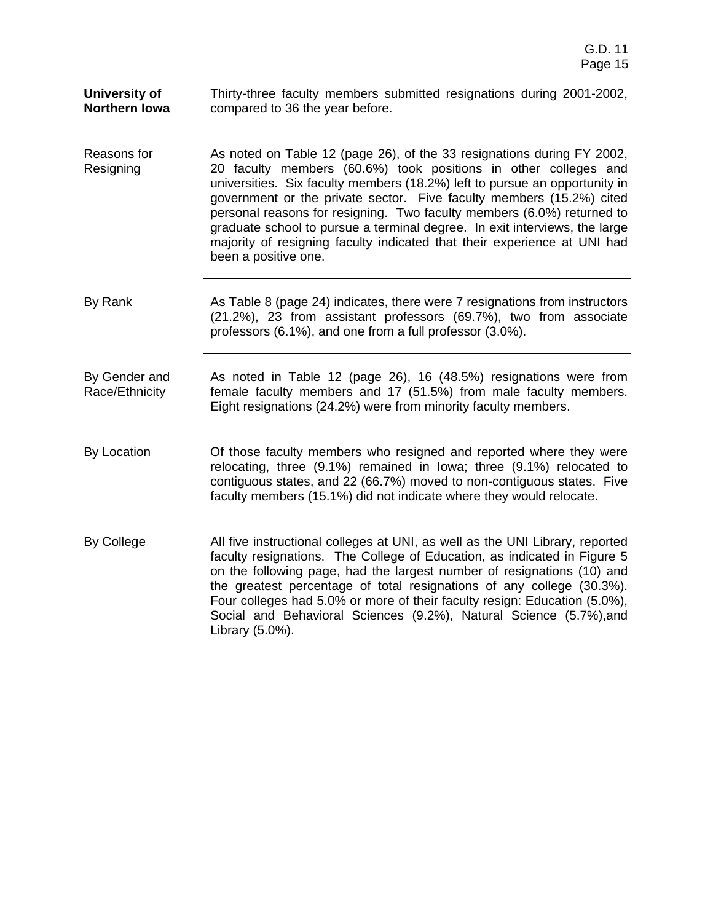| University of<br><b>Northern Iowa</b> | Thirty-three faculty members submitted resignations during 2001-2002,<br>compared to 36 the year before.                                                                                                                                                                                                                                                                                                                                                                                                                                                    |
|---------------------------------------|-------------------------------------------------------------------------------------------------------------------------------------------------------------------------------------------------------------------------------------------------------------------------------------------------------------------------------------------------------------------------------------------------------------------------------------------------------------------------------------------------------------------------------------------------------------|
| Reasons for<br>Resigning              | As noted on Table 12 (page 26), of the 33 resignations during FY 2002,<br>20 faculty members (60.6%) took positions in other colleges and<br>universities. Six faculty members (18.2%) left to pursue an opportunity in<br>government or the private sector. Five faculty members (15.2%) cited<br>personal reasons for resigning. Two faculty members (6.0%) returned to<br>graduate school to pursue a terminal degree. In exit interviews, the large<br>majority of resigning faculty indicated that their experience at UNI had<br>been a positive one. |
| By Rank                               | As Table 8 (page 24) indicates, there were 7 resignations from instructors<br>(21.2%), 23 from assistant professors (69.7%), two from associate<br>professors (6.1%), and one from a full professor (3.0%).                                                                                                                                                                                                                                                                                                                                                 |
| By Gender and<br>Race/Ethnicity       | As noted in Table 12 (page 26), 16 (48.5%) resignations were from<br>female faculty members and 17 (51.5%) from male faculty members.<br>Eight resignations (24.2%) were from minority faculty members.                                                                                                                                                                                                                                                                                                                                                     |
| By Location                           | Of those faculty members who resigned and reported where they were<br>relocating, three (9.1%) remained in Iowa; three (9.1%) relocated to<br>contiguous states, and 22 (66.7%) moved to non-contiguous states. Five<br>faculty members (15.1%) did not indicate where they would relocate.                                                                                                                                                                                                                                                                 |
| By College                            | All five instructional colleges at UNI, as well as the UNI Library, reported<br>faculty resignations. The College of Education, as indicated in Figure 5<br>on the following page, had the largest number of resignations (10) and<br>the greatest percentage of total resignations of any college (30.3%).<br>Four colleges had 5.0% or more of their faculty resign: Education (5.0%),<br>Social and Behavioral Sciences (9.2%), Natural Science (5.7%), and<br>Library (5.0%).                                                                           |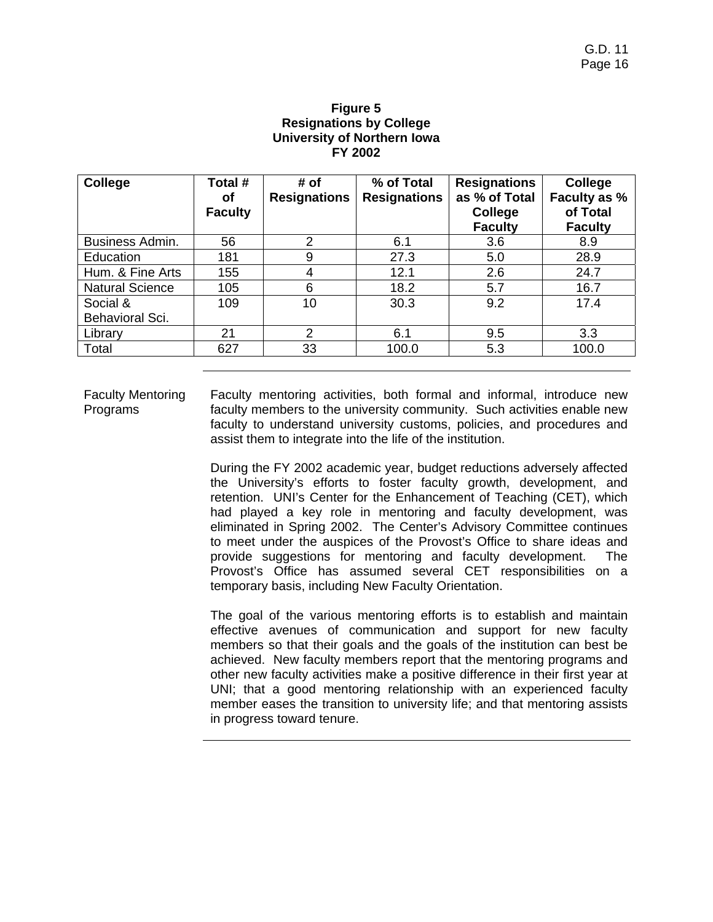### **Figure 5 Resignations by College University of Northern Iowa FY 2002**

| College                | Total #        | # of                | % of Total          | <b>Resignations</b> | <b>College</b> |
|------------------------|----------------|---------------------|---------------------|---------------------|----------------|
|                        | οf             | <b>Resignations</b> | <b>Resignations</b> | as % of Total       | Faculty as %   |
|                        | <b>Faculty</b> |                     |                     | <b>College</b>      | of Total       |
|                        |                |                     |                     | <b>Faculty</b>      | <b>Faculty</b> |
| Business Admin.        | 56             | $\overline{2}$      | 6.1                 | 3.6                 | 8.9            |
| Education              | 181            | 9                   | 27.3                | 5.0                 | 28.9           |
| Hum. & Fine Arts       | 155            | 4                   | 12.1                | 2.6                 | 24.7           |
| <b>Natural Science</b> | 105            | 6                   | 18.2                | 5.7                 | 16.7           |
| Social &               | 109            | 10                  | 30.3                | 9.2                 | 17.4           |
| Behavioral Sci.        |                |                     |                     |                     |                |
| Library                | 21             | $\overline{2}$      | 6.1                 | 9.5                 | 3.3            |
| Total                  | 627            | 33                  | 100.0               | 5.3                 | 100.0          |

Faculty Mentoring Programs Faculty mentoring activities, both formal and informal, introduce new faculty members to the university community. Such activities enable new faculty to understand university customs, policies, and procedures and assist them to integrate into the life of the institution.

> During the FY 2002 academic year, budget reductions adversely affected the University's efforts to foster faculty growth, development, and retention. UNI's Center for the Enhancement of Teaching (CET), which had played a key role in mentoring and faculty development, was eliminated in Spring 2002. The Center's Advisory Committee continues to meet under the auspices of the Provost's Office to share ideas and provide suggestions for mentoring and faculty development. The Provost's Office has assumed several CET responsibilities on a temporary basis, including New Faculty Orientation.

> The goal of the various mentoring efforts is to establish and maintain effective avenues of communication and support for new faculty members so that their goals and the goals of the institution can best be achieved. New faculty members report that the mentoring programs and other new faculty activities make a positive difference in their first year at UNI; that a good mentoring relationship with an experienced faculty member eases the transition to university life; and that mentoring assists in progress toward tenure.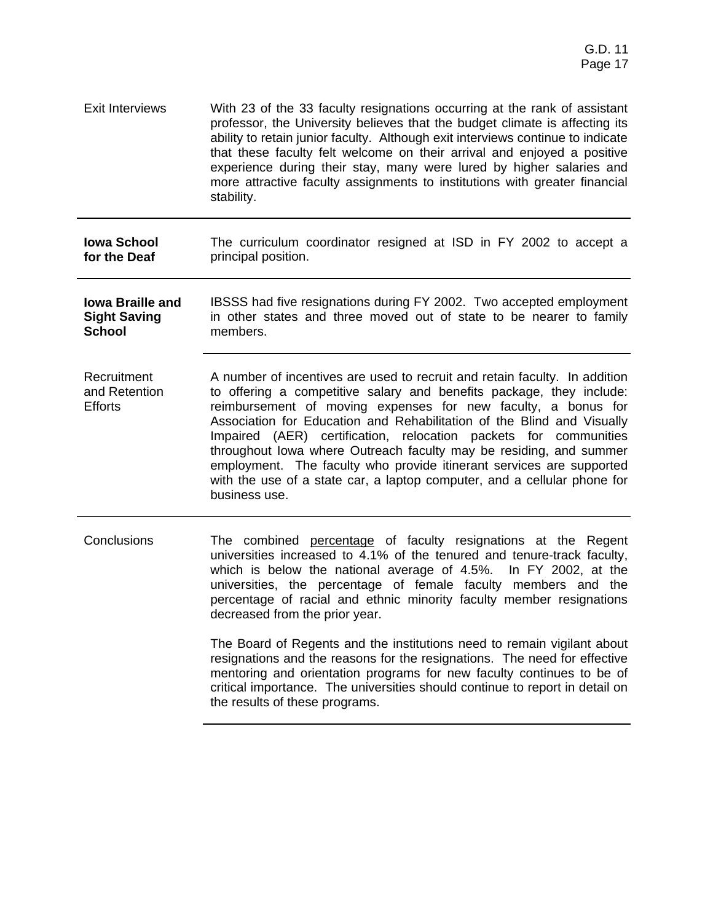Exit Interviews With 23 of the 33 faculty resignations occurring at the rank of assistant professor, the University believes that the budget climate is affecting its ability to retain junior faculty. Although exit interviews continue to indicate that these faculty felt welcome on their arrival and enjoyed a positive experience during their stay, many were lured by higher salaries and more attractive faculty assignments to institutions with greater financial stability.

**Iowa School for the Deaf** The curriculum coordinator resigned at ISD in FY 2002 to accept a principal position.

- **Iowa Braille and Sight Saving School**  IBSSS had five resignations during FY 2002. Two accepted employment in other states and three moved out of state to be nearer to family members.
- **Recruitment** and Retention **Efforts** A number of incentives are used to recruit and retain faculty. In addition to offering a competitive salary and benefits package, they include: reimbursement of moving expenses for new faculty, a bonus for Association for Education and Rehabilitation of the Blind and Visually Impaired (AER) certification, relocation packets for communities throughout Iowa where Outreach faculty may be residing, and summer employment. The faculty who provide itinerant services are supported with the use of a state car, a laptop computer, and a cellular phone for business use.
- Conclusions The combined percentage of faculty resignations at the Regent universities increased to 4.1% of the tenured and tenure-track faculty, which is below the national average of 4.5%. In FY 2002, at the universities, the percentage of female faculty members and the percentage of racial and ethnic minority faculty member resignations decreased from the prior year.

The Board of Regents and the institutions need to remain vigilant about resignations and the reasons for the resignations. The need for effective mentoring and orientation programs for new faculty continues to be of critical importance. The universities should continue to report in detail on the results of these programs.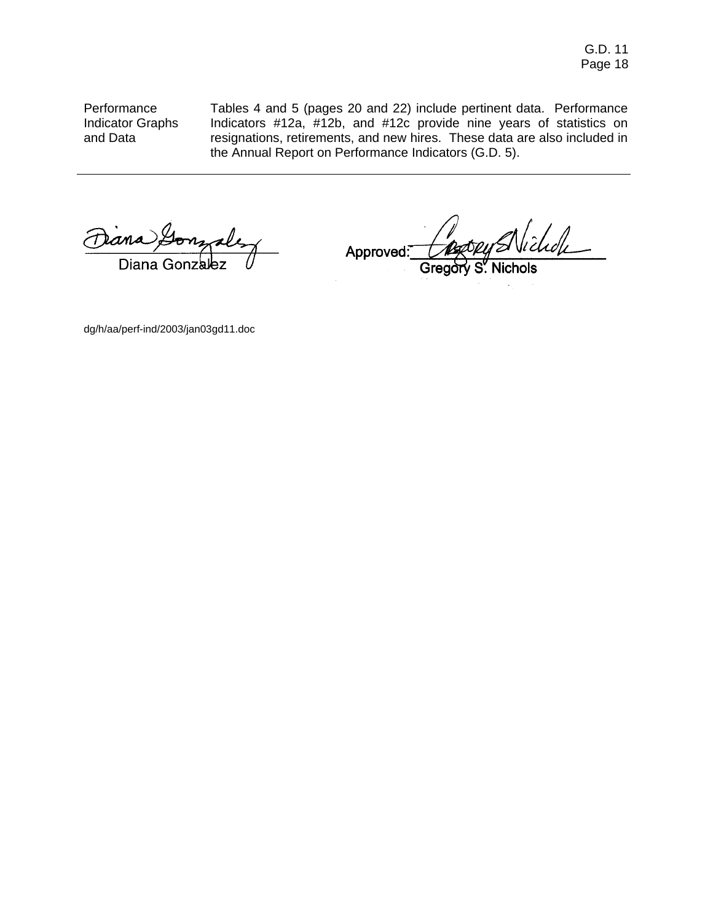Performance Indicator Graphs and Data

Tables 4 and 5 (pages 20 and 22) include pertinent data. Performance Indicators #12a, #12b, and #12c provide nine years of statistics on resignations, retirements, and new hires. These data are also included in the Annual Report on Performance Indicators (G.D. 5).

ana Lo nuales Diana Gonzalez

lichdh  $\overline{\phantom{a}}$ Approved:

S. Nichols

dg/h/aa/perf-ind/2003/jan03gd11.doc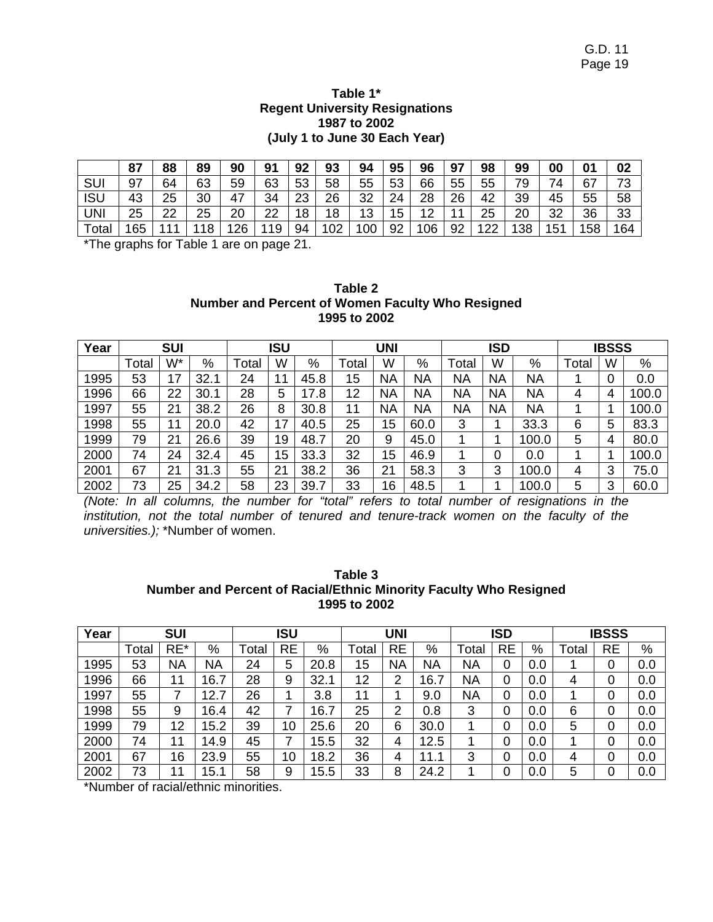### **Table 1\* Regent University Resignations 1987 to 2002 (July 1 to June 30 Each Year)**

|            | 87  | 88 | 89 | 90 | 91 | 92 | 93  | 94  | 95 | 96  | 97 | 98  | 99  | 00  | 01  | 02             |
|------------|-----|----|----|----|----|----|-----|-----|----|-----|----|-----|-----|-----|-----|----------------|
| SUI        | 97  | 64 | 63 | 59 | 63 | 53 | 58  | 55  | 53 | 66  | 55 | 55  | 79  | 74  | 67  | 72<br><b>ن</b> |
| <b>ISU</b> | 43  | 25 | 30 | 47 | 34 | 23 | 26  | 32  | 24 | 28  | 26 | 42  | 39  | 45  | 55  | 58             |
| UNI        | 25  | 22 | 25 | 20 | 22 | 18 | 18  | 13  | 15 | 12  | 11 | 25  | 20  | 32  | 36  | 33             |
| Total      | 165 |    | 18 | 26 | 19 | 94 | 102 | 100 | 92 | 106 | 92 | 122 | 138 | 151 | 158 | 164            |

\*The graphs for Table 1 are on page 21.

| Table 2                                          |
|--------------------------------------------------|
| Number and Percent of Women Faculty Who Resigned |
| 1995 to 2002                                     |

| Year | <b>SUI</b> |    |      |       | ISU |                                 |       | <b>UNI</b> |      |           | <b>ISD</b> |           |       | <b>IBSSS</b> |       |
|------|------------|----|------|-------|-----|---------------------------------|-------|------------|------|-----------|------------|-----------|-------|--------------|-------|
|      | Total      | W* | %    | Total | W   | %                               | ⊺otal | W          | %    | Total     | W          | $\%$      | Total | W            | %     |
| 1995 | 53         | 17 | 32.7 | 24    | 1   | 45.8                            | 15    | <b>NA</b>  | ΝA   | ΝA        | <b>NA</b>  | <b>NA</b> |       |              | 0.0   |
| 1996 | 66         | 22 | 30.7 | 28    | 5   | $\overline{7}$<br>$^{\circ}$ .8 | 12    | NA         | ΝA   | <b>NA</b> | <b>NA</b>  | <b>NA</b> |       | 4            | 100.0 |
| 1997 | 55         | 21 | 38.2 | 26    | 8   | 30.8                            | 11    | NA         | ΝA   | NA        | <b>NA</b>  | <b>NA</b> |       |              | 100.0 |
| 1998 | 55         | 11 | 20.0 | 42    | 17  | 40.5                            | 25    | 15         | 60.0 | 3         |            | 33.3      | 6     | 5            | 83.3  |
| 1999 | 79         | 21 | 26.6 | 39    | 19  | 48.7                            | 20    | 9          | 45.0 |           |            | 100.0     | 5     |              | 80.0  |
| 2000 | 74         | 24 | 32.4 | 45    | 15  | 33.3                            | 32    | 15         | 46.9 |           | 0          | 0.0       |       |              | 100.0 |
| 2001 | 67         | 21 | 31.3 | 55    | 21  | 38.2                            | 36    | 21         | 58.3 | 3         | 3          | 100.0     |       | 3            | 75.0  |
| 2002 | 73         | 25 | 34.2 | 58    | 23  | 39.7                            | 33    | 16         | 48.5 |           |            | 100.0     | 5     | 3            | 60.0  |

*(Note: In all columns, the number for "total" refers to total number of resignations in the institution, not the total number of tenured and tenure-track women on the faculty of the universities.);* \*Number of women.

| Table 3                                                           |
|-------------------------------------------------------------------|
| Number and Percent of Racial/Ethnic Minority Faculty Who Resigned |
| 1995 to 2002                                                      |

| Year |       | <b>SUI</b> |          |      | ISU       |      |       | <b>UNI</b> |           |       | ISD |      |       | <b>IBSSS</b> |      |
|------|-------|------------|----------|------|-----------|------|-------|------------|-----------|-------|-----|------|-------|--------------|------|
|      | Total | RE*        | %        | Tota | <b>RE</b> | $\%$ | Total | <b>RE</b>  | %         | Total | RE  | $\%$ | ⊺otal | RE           | $\%$ |
| 1995 | 53    | NA         | ΝA       | 24   | 5         | 20.8 | 5     | <b>NA</b>  | ΝA        | ΝA    | 0   | 0.0  |       | 0            | 0.0  |
| 1996 | 66    | 11         | 6.7<br>7 | 28   | 9         | 32.  | 12    | 2          | ⇁<br>16.7 | ΝA    | 0   | 0.0  |       | 0            | 0.0  |
| 1997 | 55    | 7          | 12.7     | 26   |           | 3.8  | 11    |            | 9.0       | ΝA    | 0   | 0.0  |       | 0            | 0.0  |
| 1998 | 55    | 9          | 16.4     | 42   |           | 16.7 | 25    | 2          | 0.8       | 3     | 0   | 0.0  | 6     | 0            | 0.0  |
| 1999 | 79    | 12         | 5.2      | 39   | 10        | 25.6 | 20    | 6          | 30.0      |       | 0   | 0.0  | 5     | 0            | 0.0  |
| 2000 | 74    | 11         | 14.9     | 45   |           | 15.5 | 32    | 4          | 12.5      |       | 0   | 0.0  |       | 0            | 0.0  |
| 2001 | 67    | 16         | 23.9     | 55   | 10        | 18.2 | 36    | 4          | 11.<br>1  | 3     | 0   | 0.0  | 4     | 0            | 0.0  |
| 2002 | 73    | 11         | 5.1      | 58   | 9         | 15.5 | 33    | 8          | 24.2      |       | 0   | 0.0  | 5     | 0            | 0.0  |

\*Number of racial/ethnic minorities.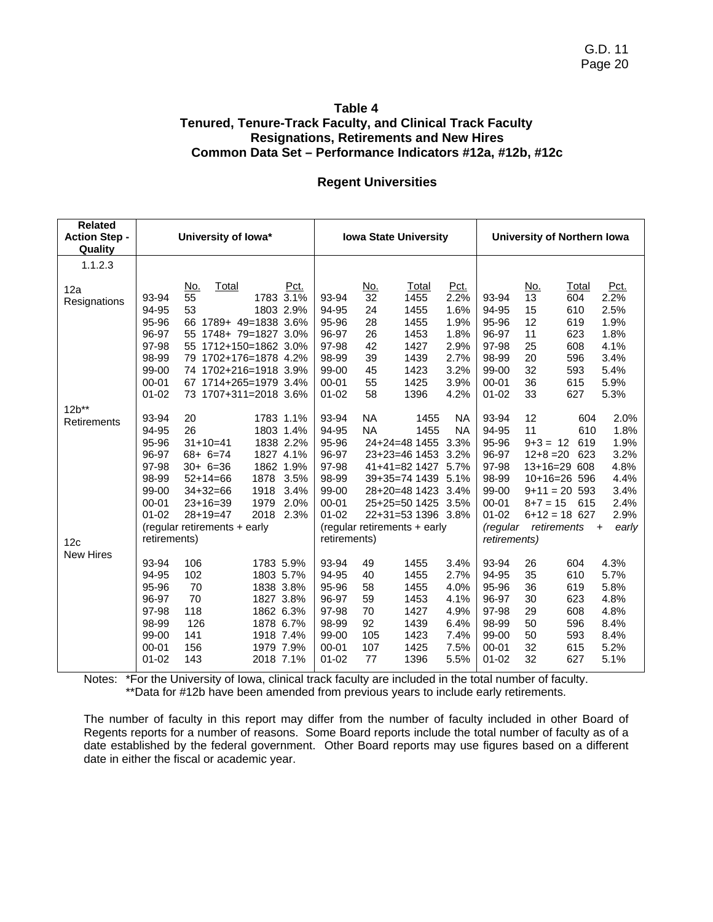### **Table 4 Tenured, Tenure-Track Faculty, and Clinical Track Faculty Resignations, Retirements and New Hires Common Data Set – Performance Indicators #12a, #12b, #12c**

#### **Regent Universities**

| <b>Related</b><br><b>Action Step -</b><br>Quality |                                                                                                       | University of lowa*                                                                                                                              |                                                                                                                                                             |                                                                                                       |                                                      | <b>Iowa State University</b>                                                                                                                                                                 |                                                                      |                                                                                                               |                                                       | University of Northern Iowa                                                                                             |                                                                                                       |
|---------------------------------------------------|-------------------------------------------------------------------------------------------------------|--------------------------------------------------------------------------------------------------------------------------------------------------|-------------------------------------------------------------------------------------------------------------------------------------------------------------|-------------------------------------------------------------------------------------------------------|------------------------------------------------------|----------------------------------------------------------------------------------------------------------------------------------------------------------------------------------------------|----------------------------------------------------------------------|---------------------------------------------------------------------------------------------------------------|-------------------------------------------------------|-------------------------------------------------------------------------------------------------------------------------|-------------------------------------------------------------------------------------------------------|
| 1.1.2.3                                           |                                                                                                       |                                                                                                                                                  |                                                                                                                                                             |                                                                                                       |                                                      |                                                                                                                                                                                              |                                                                      |                                                                                                               |                                                       |                                                                                                                         |                                                                                                       |
| 12a<br>Resignations                               | 93-94<br>94-95<br>95-96<br>96-97<br>97-98<br>98-99<br>99-00                                           | Total<br>No.<br>55<br>53                                                                                                                         | Pct.<br>1783 3.1%<br>1803 2.9%<br>66 1789+ 49=1838 3.6%<br>55 1748+ 79=1827 3.0%<br>55 1712+150=1862 3.0%<br>79 1702+176=1878 4.2%<br>74 1702+216=1918 3.9% | 93-94<br>94-95<br>95-96<br>96-97<br>97-98<br>98-99<br>99-00                                           | <u>No.</u><br>32<br>24<br>28<br>26<br>42<br>39<br>45 | Total<br>1455<br>1455<br>1455<br>1453<br>1427<br>1439<br>1423                                                                                                                                | Pct.<br>2.2%<br>1.6%<br>1.9%<br>1.8%<br>2.9%<br>2.7%<br>3.2%         | 93-94<br>94-95<br>95-96<br>96-97<br>97-98<br>98-99<br>99-00                                                   | <u>No.</u><br>13<br>15<br>12<br>11<br>25<br>20<br>32  | Total<br>604<br>610<br>619<br>623<br>608<br>596<br>593                                                                  | Pct.<br>2.2%<br>2.5%<br>1.9%<br>1.8%<br>4.1%<br>3.4%<br>5.4%                                          |
|                                                   | $00 - 01$<br>$01 - 02$                                                                                |                                                                                                                                                  | 67 1714+265=1979 3.4%<br>73 1707+311=2018 3.6%                                                                                                              | $00 - 01$<br>$01 - 02$                                                                                | 55<br>58                                             | 1425<br>1396                                                                                                                                                                                 | 3.9%<br>4.2%                                                         | $00 - 01$<br>$01 - 02$                                                                                        | 36<br>33                                              | 615<br>627                                                                                                              | 5.9%<br>5.3%                                                                                          |
| $12b***$<br>Retirements                           | 93-94<br>94-95<br>95-96<br>96-97<br>97-98<br>98-99<br>99-00<br>$00 - 01$<br>$01 - 02$                 | 20<br>26<br>$31+10=41$<br>$68 + 6 = 74$<br>$30 + 6 = 36$<br>$52+14=66$<br>$34+32=66$<br>$23+16=39$<br>$28+19=47$<br>(regular retirements + early | 1783 1.1%<br>1803 1.4%<br>1838 2.2%<br>1827 4.1%<br>1862 1.9%<br>1878<br>3.5%<br>3.4%<br>1918<br>2.0%<br>1979<br>2018<br>2.3%                               | 93-94<br>94-95<br>95-96<br>96-97<br>97-98<br>98-99<br>99-00<br>$00 - 01$<br>$01 - 02$                 | NA<br><b>NA</b>                                      | 1455<br>1455<br>24+24=48 1455<br>23+23=46 1453<br>41+41=82 1427 5.7%<br>39+35=74 1439 5.1%<br>28+20=48 1423 3.4%<br>25+25=50 1425 3.5%<br>22+31=53 1396 3.8%<br>(regular retirements + early | <b>NA</b><br><b>NA</b><br>3.3%<br>3.2%                               | 93-94<br>94-95<br>95-96<br>96-97<br>97-98<br>98-99<br>99-00<br>$00 - 01$<br>$01 - 02$<br>(regular             | 12<br>11<br>$9 + 3 = 12$<br>$12 + 8 = 20$<br>$8+7=15$ | 604<br>610<br>619<br>623<br>$13+16=29608$<br>$10+16=26$ 596<br>$9+11 = 20$ 593<br>615<br>$6+12 = 18$ 627<br>retirements | 2.0%<br>1.8%<br>1.9%<br>3.2%<br>4.8%<br>4.4%<br>3.4%<br>2.4%<br>2.9%<br>early<br>$\ddot{\phantom{1}}$ |
| 12c<br><b>New Hires</b>                           | retirements)<br>93-94<br>94-95<br>95-96<br>96-97<br>97-98<br>98-99<br>99-00<br>$00 - 01$<br>$01 - 02$ | 106<br>102<br>70<br>70<br>118<br>126<br>141<br>156<br>143                                                                                        | 1783 5.9%<br>1803 5.7%<br>1838 3.8%<br>1827 3.8%<br>1862 6.3%<br>1878 6.7%<br>1918 7.4%<br>1979 7.9%<br>2018 7.1%                                           | retirements)<br>93-94<br>94-95<br>95-96<br>96-97<br>97-98<br>98-99<br>99-00<br>$00 - 01$<br>$01 - 02$ | 49<br>40<br>58<br>59<br>70<br>92<br>105<br>107<br>77 | 1455<br>1455<br>1455<br>1453<br>1427<br>1439<br>1423<br>1425<br>1396                                                                                                                         | 3.4%<br>2.7%<br>4.0%<br>4.1%<br>4.9%<br>6.4%<br>7.4%<br>7.5%<br>5.5% | <i>retirements</i> )<br>93-94<br>94-95<br>95-96<br>96-97<br>97-98<br>98-99<br>99-00<br>$00 - 01$<br>$01 - 02$ | 26<br>35<br>36<br>30<br>29<br>50<br>50<br>32<br>32    | 604<br>610<br>619<br>623<br>608<br>596<br>593<br>615<br>627                                                             | 4.3%<br>5.7%<br>5.8%<br>4.8%<br>4.8%<br>8.4%<br>8.4%<br>5.2%<br>5.1%                                  |

Notes: \*For the University of Iowa, clinical track faculty are included in the total number of faculty. \*\*Data for #12b have been amended from previous years to include early retirements.

The number of faculty in this report may differ from the number of faculty included in other Board of Regents reports for a number of reasons. Some Board reports include the total number of faculty as of a date established by the federal government. Other Board reports may use figures based on a different date in either the fiscal or academic year.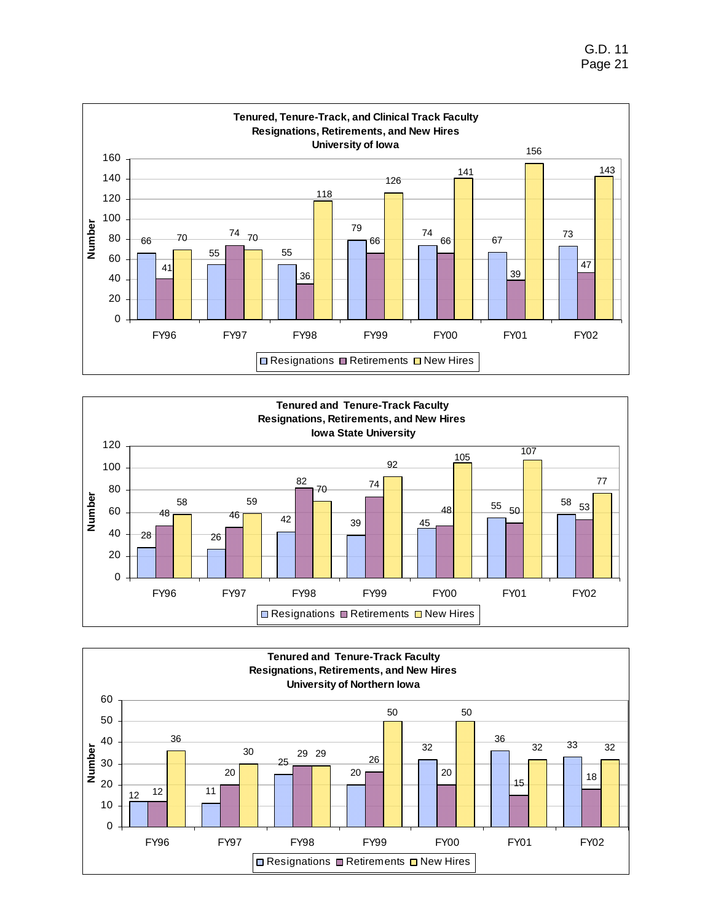G.D. 11 Page 21





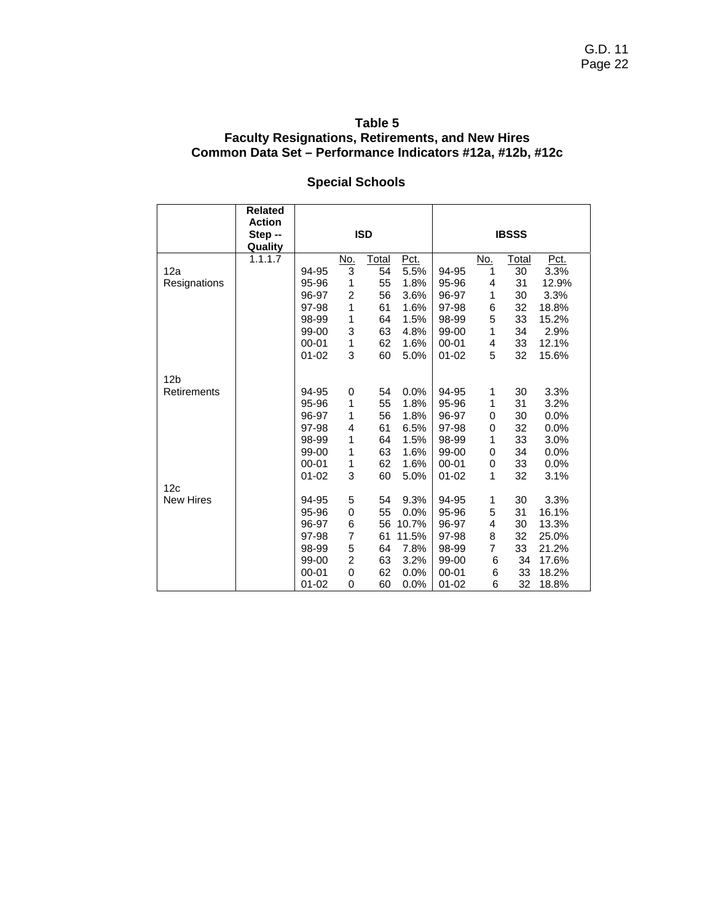### **Table 5 Faculty Resignations, Retirements, and New Hires Common Data Set – Performance Indicators #12a, #12b, #12c**

# **Special Schools**

|                  | <b>Related</b> |           |                |            |       |           |            |              |       |
|------------------|----------------|-----------|----------------|------------|-------|-----------|------------|--------------|-------|
|                  | <b>Action</b>  |           |                |            |       |           |            |              |       |
|                  | Step --        |           |                | <b>ISD</b> |       |           |            | <b>IBSSS</b> |       |
|                  | Quality        |           |                |            |       |           |            |              |       |
|                  | 1.1.1.7        |           | <u>No.</u>     | Total      | Pct.  |           | <u>No.</u> | <b>Total</b> | Pct.  |
| 12a              |                | 94-95     | $\overline{3}$ | 54         | 5.5%  | 94-95     | 1          | 30           | 3.3%  |
| Resignations     |                | 95-96     | 1              | 55         | 1.8%  | 95-96     | 4          | 31           | 12.9% |
|                  |                | 96-97     | 2              | 56         | 3.6%  | 96-97     | 1          | 30           | 3.3%  |
|                  |                | 97-98     | 1              | 61         | 1.6%  | 97-98     | 6          | 32           | 18.8% |
|                  |                | 98-99     | 1              | 64         | 1.5%  | 98-99     | 5          | 33           | 15.2% |
|                  |                | 99-00     | 3              | 63         | 4.8%  | 99-00     | 1          | 34           | 2.9%  |
|                  |                | $00 - 01$ | 1              | 62         | 1.6%  | $00 - 01$ | 4          | 33           | 12.1% |
|                  |                | $01 - 02$ | 3              | 60         | 5.0%  | $01 - 02$ | 5          | 32           | 15.6% |
|                  |                |           |                |            |       |           |            |              |       |
| 12 <sub>b</sub>  |                |           |                |            |       |           |            |              |       |
| Retirements      |                | 94-95     | 0              | 54         | 0.0%  | 94-95     | 1          | 30           | 3.3%  |
|                  |                | 95-96     | 1              | 55         | 1.8%  | 95-96     | 1          | 31           | 3.2%  |
|                  |                | 96-97     | 1              | 56         | 1.8%  | 96-97     | 0          | 30           | 0.0%  |
|                  |                | 97-98     | 4              | 61         | 6.5%  | 97-98     | 0          | 32           | 0.0%  |
|                  |                | 98-99     | 1              | 64         | 1.5%  | 98-99     | 1          | 33           | 3.0%  |
|                  |                | 99-00     | 1              | 63         | 1.6%  | 99-00     | 0          | 34           | 0.0%  |
|                  |                | $00 - 01$ | 1              | 62         | 1.6%  | $00 - 01$ | 0          | 33           | 0.0%  |
|                  |                | $01 - 02$ | 3              | 60         | 5.0%  | $01 - 02$ | 1          | 32           | 3.1%  |
| 12c              |                |           |                |            |       |           |            |              |       |
| <b>New Hires</b> |                | 94-95     | 5              | 54         | 9.3%  | 94-95     | 1          | 30           | 3.3%  |
|                  |                | 95-96     | 0              | 55         | 0.0%  | 95-96     | 5          | 31           | 16.1% |
|                  |                | 96-97     | 6              | 56         | 10.7% | 96-97     | 4          | 30           | 13.3% |
|                  |                | 97-98     | 7              | 61         | 11.5% | 97-98     | 8          | 32           | 25.0% |
|                  |                | 98-99     | 5              | 64         | 7.8%  | 98-99     | 7          | 33           | 21.2% |
|                  |                | 99-00     | $\overline{c}$ | 63         | 3.2%  | 99-00     | 6          | 34           | 17.6% |
|                  |                | $00 - 01$ | 0              | 62         | 0.0%  | $00 - 01$ | 6          | 33           | 18.2% |
|                  |                | $01 - 02$ | 0              | 60         | 0.0%  | $01 - 02$ | 6          | 32           | 18.8% |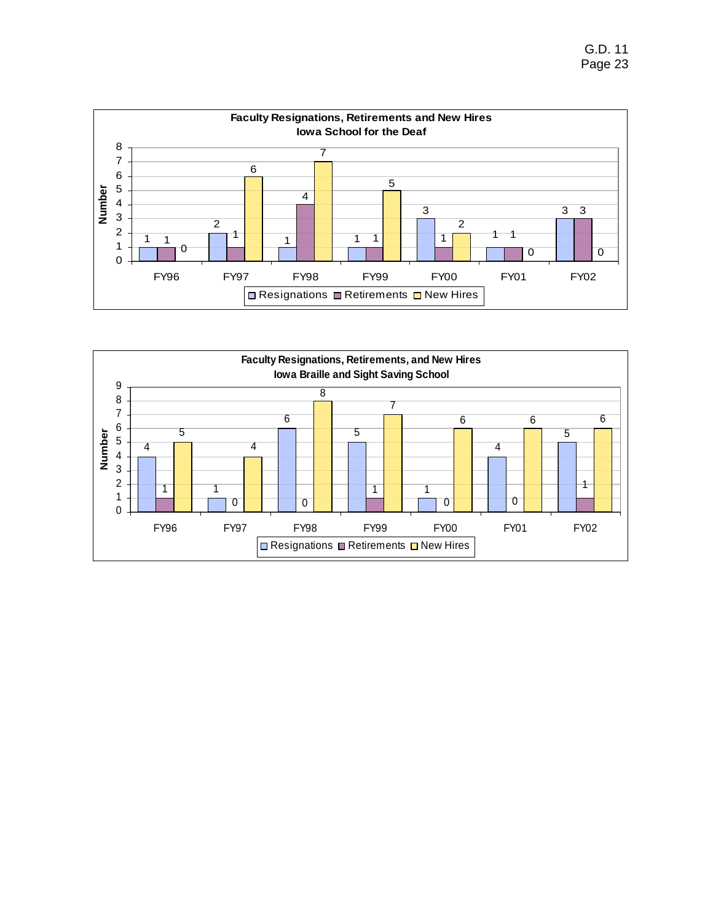

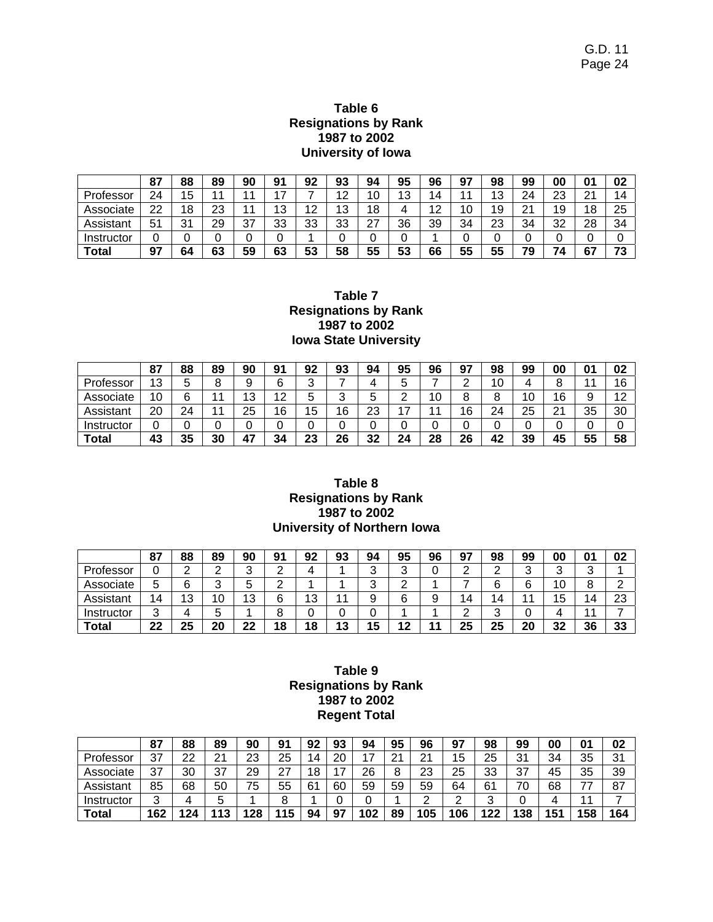### **Table 6 Resignations by Rank 1987 to 2002 University of Iowa**

|            | 87 | 88 | 89       | 90 | 91 | 92 | 93 | 94          | 95 | 96 | 97 | 98 | 99      | 00 | 01 | 02                       |
|------------|----|----|----------|----|----|----|----|-------------|----|----|----|----|---------|----|----|--------------------------|
| Professor  | 24 | 15 |          |    | ⇁  |    | 12 | 1 ∩<br>υ    | 13 | 4  | 44 | 13 | 24      | 23 | 21 | 14                       |
| Associate  | 22 | 18 | ົດ<br>د∠ |    | 13 | 12 | 13 | 8           |    | 12 | 10 | 19 | 21<br>∠ | 19 | 18 | 25                       |
| Assistant  | 51 | 31 | 29       | 37 | 33 | 33 | 33 | $\sim$<br>۷ | 36 | 39 | 34 | 23 | 34      | 32 | 28 | 34                       |
| Instructor | ັ  |    |          |    |    |    |    |             |    |    | ບ  | 0  | ັ       |    |    |                          |
| Total      | 97 | 64 | 63       | 59 | 63 | 53 | 58 | 55          | 53 | 66 | 55 | 55 | 79      | 74 | 67 | $\overline{\phantom{a}}$ |

### **Table 7 Resignations by Rank 1987 to 2002 Iowa State University**

|              | 87 | 88 | 89  | 90       | ۵۰<br>◡   | 92 | 93     | 94 | 95            | 96 | 97            | 98     | 99 | 00      | 01 | 02                   |
|--------------|----|----|-----|----------|-----------|----|--------|----|---------------|----|---------------|--------|----|---------|----|----------------------|
| Professor    | 13 |    | ດ   |          | 6         | ື  |        |    | ∽<br>ັ        |    | ົ<br><u>_</u> | 10     |    | o<br>o  |    | 16<br>υ              |
| Associate    | 10 | G  |     | 1 ຕ<br>J | 12<br>ے ، |    | ⌒<br>ັ | 0  | ⌒<br><u>.</u> | 10 | 8             | 8      | 10 | 16      | 9  | $\sim$<br>. <u>.</u> |
| Assistant    | 20 | 24 | A A | 25       | 16        | 15 | 16     | 23 | ⇁             | 44 | 16            | 24     | 25 | O1<br>∠ | 35 | 30                   |
| Instructor   | v  |    |     |          |           |    |        | ັ  | ີ             | ັ  | v             | C<br>v |    | ν       |    |                      |
| <b>Total</b> | 43 | 35 | 30  | 47       | 34        | 23 | 26     | 32 | 24            | 28 | 26            | 42     | 39 | 45      | 55 | 58                   |

#### **Table 8 Resignations by Rank 1987 to 2002 University of Northern Iowa**

|             | 87     | 88 | 89     | 90     | 91 | 92                    | 93         | 94     | 95            | 96     | 97            | 98            | 99 | 00        | $\mathbf{0}$ | 02       |
|-------------|--------|----|--------|--------|----|-----------------------|------------|--------|---------------|--------|---------------|---------------|----|-----------|--------------|----------|
| Professor   | U      | ⌒  | ⌒      | ⌒      |    |                       |            | ⌒<br>ັ | ົ<br>◡        | ⌒<br>ັ | ົ<br><u>.</u> | ⌒<br><u>.</u> | ⌒  | ົ<br>u    | ⌒<br>w       |          |
| Associate   | 5      | ຂ  |        |        |    |                       |            | ◠<br>ັ | ⌒<br><u>.</u> |        |               | 6             | 6  | 10        |              |          |
| Assistant   | 14     | 13 | n<br>U | ົ<br>J |    | $\overline{10}$<br>ن. |            |        | ົ             | a<br>ິ | 14            | 14            |    | 15<br>ں ו | и            | ററ<br>دے |
| Instructor  | ົ<br>J |    |        |        |    |                       |            |        |               |        | ⌒             | ົ<br>J        |    |           |              |          |
| $\tau$ otal | 22     | 25 | 20     | 22     | 18 | 18                    | 19.<br>ن ا | 15     | ່າ            | 44     | 25            | 25            | 20 | 32        | 36           | 33       |

### **Table 9 Resignations by Rank 1987 to 2002 Regent Total**

|            | 87     | 88                     | 89              | 90        | 91        | 92 | ດາ<br>ื่ง | 94  | 95                   | 96                 | 97  | 98 | 99  | 00  | 01  | 02  |
|------------|--------|------------------------|-----------------|-----------|-----------|----|-----------|-----|----------------------|--------------------|-----|----|-----|-----|-----|-----|
| Professor  | 37     | ົດ<br>∠∠               | າ 1<br><u>.</u> | 23        | 25        | 14 | 20        |     | $\Omega$<br><u>_</u> | $\sim$<br><u>L</u> | 15  | 25 | 31  | 34  | 35  | 31  |
| Associate  | 37     | 30                     | 27<br>ິ         | 29        | っっ<br>، ے | 18 | –         | 26  | ົ                    | ററ<br>د∠           | 25  | 33 | 37  | 45  | 35  | 39  |
| Assistant  | 85     | 68                     | 50              | 75        | 55        | 61 | 60        | 59  | 59                   | 59                 | 64  | 61 | 70  | 68  | ララ  | 87  |
| Instructor | っ<br>ັ |                        | π               |           |           |    |           |     |                      |                    |     |    |     |     |     |     |
| Total      | 162    | 12 <sub>A</sub><br>. . | 13              | <b>28</b> | 15        | 94 | 97        | 102 | 89                   | 105                | 106 | 22 | 138 | 151 | 158 | 164 |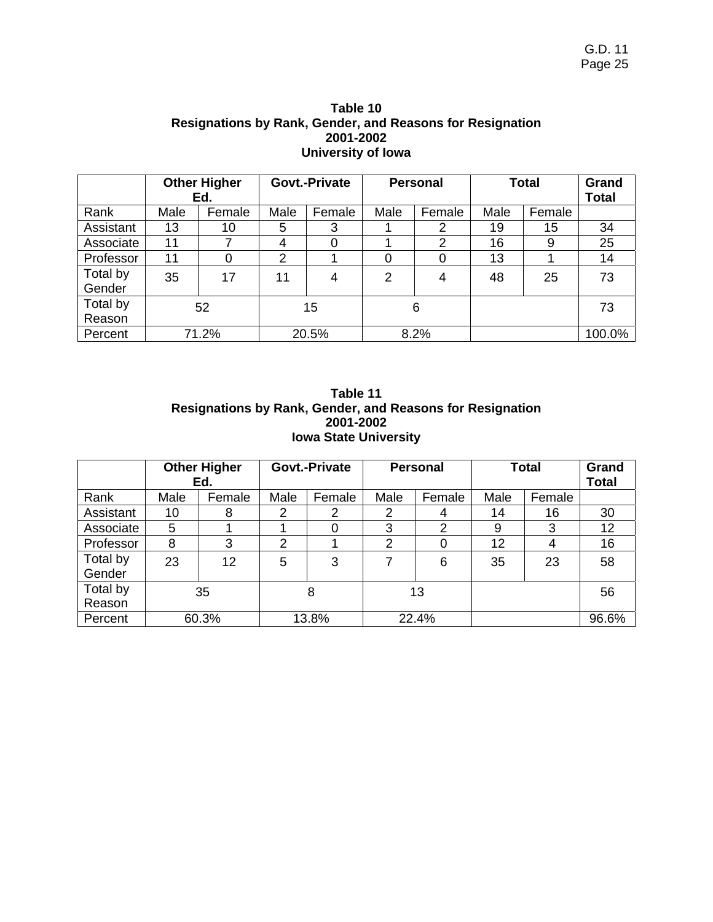| Table 10                                                  |
|-----------------------------------------------------------|
| Resignations by Rank, Gender, and Reasons for Resignation |
| 2001-2002                                                 |
| University of Iowa                                        |

|                    | <b>Other Higher</b><br>Ed. |        | Govt.-Private  |        | <b>Personal</b> |        | <b>Total</b> |        | Grand<br><b>Total</b> |
|--------------------|----------------------------|--------|----------------|--------|-----------------|--------|--------------|--------|-----------------------|
| Rank               | Male                       | Female | Male           | Female | Male            | Female | Male         | Female |                       |
| Assistant          | 13                         | 10     | 5              | 3      |                 | 2      | 19           | 15     | 34                    |
| Associate          | 11                         | 7      | 4              | 0      |                 | 2      | 16           | 9      | 25                    |
| Professor          | 11                         | 0      | $\overline{2}$ |        | 0               |        | 13           |        | 14                    |
| Total by<br>Gender | 35                         | 17     | 11             | 4      | $\overline{2}$  | 4      | 48           | 25     | 73                    |
| Total by<br>Reason | 52                         |        | 15             |        | 6               |        |              |        | 73                    |
| Percent            |                            | 71.2%  | 20.5%          |        | 8.2%            |        |              |        | 100.0%                |

| Table 11                                                  |
|-----------------------------------------------------------|
| Resignations by Rank, Gender, and Reasons for Resignation |
| 2001-2002                                                 |
| <b>Iowa State University</b>                              |

|           | <b>Other Higher</b><br>Ed. |        | Govt.-Private |        | <b>Personal</b> |        | <b>Total</b> |        | Grand<br><b>Total</b> |
|-----------|----------------------------|--------|---------------|--------|-----------------|--------|--------------|--------|-----------------------|
| Rank      | Male                       | Female | Male          | Female | Male            | Female | Male         | Female |                       |
| Assistant | 10                         | 8      | 2             | 2      | 2               | 4      | 14           | 16     | 30                    |
| Associate | 5                          |        |               | 0      | 3               | 2      | 9            | 3      | 12                    |
| Professor | 8                          | 3      | 2             |        | 2               | 0      | 12           | 4      | 16                    |
| Total by  | 23                         | 12     | 5             | 3      |                 | 6      | 35           | 23     | 58                    |
| Gender    |                            |        |               |        |                 |        |              |        |                       |
| Total by  | 35                         |        | 8             |        | 13              |        |              |        | 56                    |
| Reason    |                            |        |               |        |                 |        |              |        |                       |
| Percent   | 60.3%                      |        | 13.8%         |        | 22.4%           |        |              |        | 96.6%                 |